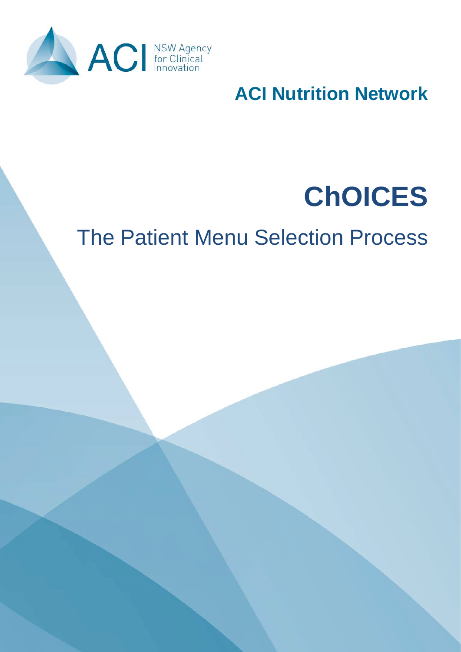

**ACI Nutrition Network**

# **ChOICES**

# The Patient Menu Selection Process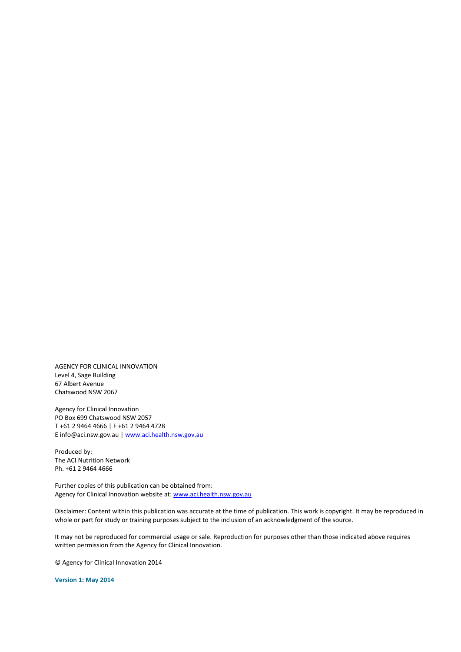AGENCY FOR CLINICAL INNOVATION Level 4, Sage Building 67 Albert Avenue Chatswood NSW 2067

Agency for Clinical Innovation PO Box 699 Chatswood NSW 2057 T +61 2 9464 4666 | F +61 2 9464 4728 E info@aci.nsw.gov.au [| www.aci.health.nsw.gov.au](http://www.aci.health.nsw.gov.au/)

Produced by: The ACI Nutrition Network Ph. +61 2 9464 4666

Further copies of this publication can be obtained from: Agency for Clinical Innovation website at: [www.aci.health.nsw.gov.au](http://www.aci.health.nsw.gov.au/)

Disclaimer: Content within this publication was accurate at the time of publication. This work is copyright. It may be reproduced in whole or part for study or training purposes subject to the inclusion of an acknowledgment of the source.

It may not be reproduced for commercial usage or sale. Reproduction for purposes other than those indicated above requires written permission from the Agency for Clinical Innovation.

© Agency for Clinical Innovation 2014

**Version 1: May 2014**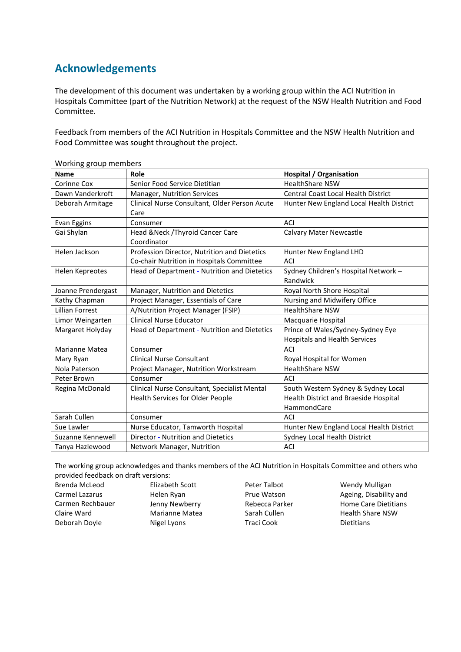### **Acknowledgements**

The development of this document was undertaken by a working group within the ACI Nutrition in Hospitals Committee (part of the Nutrition Network) at the request of the NSW Health Nutrition and Food Committee.

Feedback from members of the ACI Nutrition in Hospitals Committee and the NSW Health Nutrition and Food Committee was sought throughout the project.

| <b>Name</b>            | Role                                                  | <b>Hospital / Organisation</b>             |
|------------------------|-------------------------------------------------------|--------------------------------------------|
| Corinne Cox            | Senior Food Service Dietitian                         | <b>HealthShare NSW</b>                     |
| Dawn Vanderkroft       | Manager, Nutrition Services                           | <b>Central Coast Local Health District</b> |
| Deborah Armitage       | Clinical Nurse Consultant, Older Person Acute<br>Care | Hunter New England Local Health District   |
| Evan Eggins            | Consumer                                              | ACI                                        |
| Gai Shylan             | Head & Neck / Thyroid Cancer Care<br>Coordinator      | <b>Calvary Mater Newcastle</b>             |
| Helen Jackson          | Profession Director, Nutrition and Dietetics          | Hunter New England LHD                     |
|                        | Co-chair Nutrition in Hospitals Committee             | <b>ACI</b>                                 |
| <b>Helen Kepreotes</b> | Head of Department - Nutrition and Dietetics          | Sydney Children's Hospital Network -       |
|                        |                                                       | Randwick                                   |
| Joanne Prendergast     | Manager, Nutrition and Dietetics                      | Royal North Shore Hospital                 |
| Kathy Chapman          | Project Manager, Essentials of Care                   | Nursing and Midwifery Office               |
| <b>Lillian Forrest</b> | A/Nutrition Project Manager (FSIP)                    | <b>HealthShare NSW</b>                     |
| Limor Weingarten       | <b>Clinical Nurse Educator</b>                        | Macquarie Hospital                         |
| Margaret Holyday       | Head of Department - Nutrition and Dietetics          | Prince of Wales/Sydney-Sydney Eye          |
|                        |                                                       | <b>Hospitals and Health Services</b>       |
| Marianne Matea         | Consumer                                              | ACI                                        |
| Mary Ryan              | <b>Clinical Nurse Consultant</b>                      | Royal Hospital for Women                   |
| Nola Paterson          | Project Manager, Nutrition Workstream                 | <b>HealthShare NSW</b>                     |
| Peter Brown            | Consumer                                              | ACI                                        |
| Regina McDonald        | Clinical Nurse Consultant, Specialist Mental          | South Western Sydney & Sydney Local        |
|                        | <b>Health Services for Older People</b>               | Health District and Braeside Hospital      |
|                        |                                                       | HammondCare                                |
| Sarah Cullen           | Consumer                                              | ACI                                        |
| Sue Lawler             | Nurse Educator, Tamworth Hospital                     | Hunter New England Local Health District   |
| Suzanne Kennewell      | Director - Nutrition and Dietetics                    | Sydney Local Health District               |
| Tanya Hazlewood        | Network Manager, Nutrition                            | ACI                                        |

Working group members

The working group acknowledges and thanks members of the ACI Nutrition in Hospitals Committee and others who provided feedback on draft versions:

| Brenda McLeod    | Elizabeth Scott       |
|------------------|-----------------------|
| Carmel Lazarus   | Helen Ryan            |
| Carmen Rechbauer | Jenny Newberry        |
| Claire Ward      | <b>Marianne Matea</b> |
| Deborah Doyle    | Nigel Lyons           |

- Peter Talbot Prue Watson Rebecca Parker Sarah Cullen Traci Cook
- Wendy Mulligan Ageing, Disability and Home Care Dietitians Health Share NSW Dietitians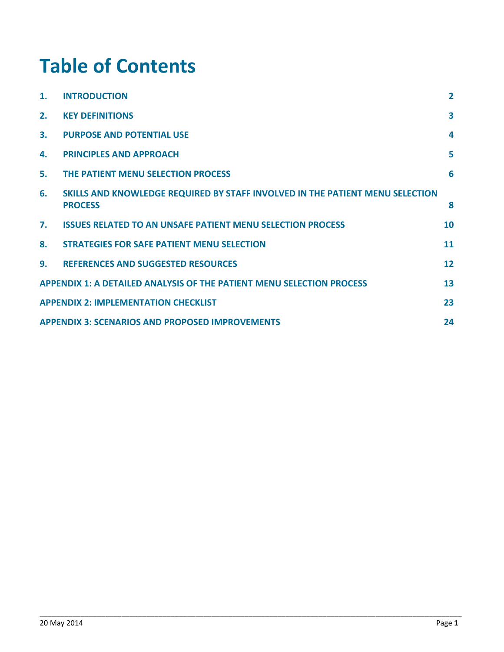## **Table of Contents**

| $\mathbf 1$ . | <b>INTRODUCTION</b>                                                                             | $\overline{2}$          |
|---------------|-------------------------------------------------------------------------------------------------|-------------------------|
| 2.            | <b>KEY DEFINITIONS</b>                                                                          | $\overline{\mathbf{3}}$ |
| 3.            | <b>PURPOSE AND POTENTIAL USE</b>                                                                | $\boldsymbol{A}$        |
| 4.            | <b>PRINCIPLES AND APPROACH</b>                                                                  | 5                       |
| 5.            | THE PATIENT MENU SELECTION PROCESS                                                              | 6                       |
| 6.            | SKILLS AND KNOWLEDGE REQUIRED BY STAFF INVOLVED IN THE PATIENT MENU SELECTION<br><b>PROCESS</b> | 8                       |
| 7.            | <b>ISSUES RELATED TO AN UNSAFE PATIENT MENU SELECTION PROCESS</b>                               | 10                      |
| 8.            | <b>STRATEGIES FOR SAFE PATIENT MENU SELECTION</b>                                               | 11                      |
| 9.            | <b>REFERENCES AND SUGGESTED RESOURCES</b>                                                       | 12                      |
|               | <b>APPENDIX 1: A DETAILED ANALYSIS OF THE PATIENT MENU SELECTION PROCESS</b>                    | 13                      |
|               | <b>APPENDIX 2: IMPLEMENTATION CHECKLIST</b>                                                     | 23                      |
|               | <b>APPENDIX 3: SCENARIOS AND PROPOSED IMPROVEMENTS</b>                                          | 24                      |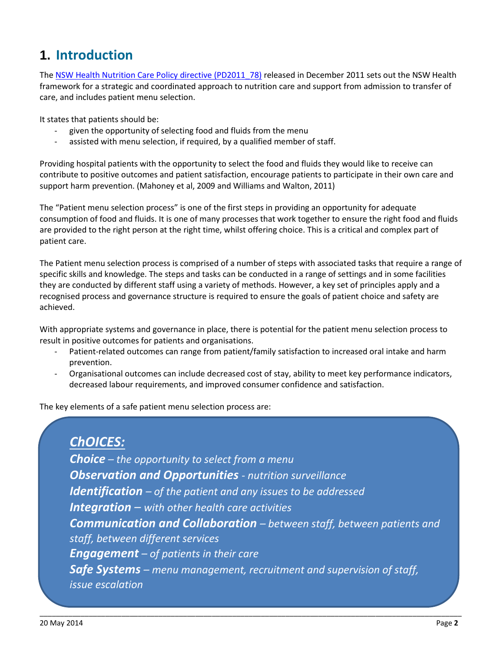### <span id="page-4-0"></span>**1. Introduction**

The [NSW Health Nutrition Care Policy directive \(PD2011\\_78\)](http://www0.health.nsw.gov.au/policies/pd/2011/PD2011_078.html) released in December 2011 sets out the NSW Health framework for a strategic and coordinated approach to nutrition care and support from admission to transfer of care, and includes patient menu selection.

It states that patients should be:

- given the opportunity of selecting food and fluids from the menu
- assisted with menu selection, if required, by a qualified member of staff.

Providing hospital patients with the opportunity to select the food and fluids they would like to receive can contribute to positive outcomes and patient satisfaction, encourage patients to participate in their own care and support harm prevention. (Mahoney et al, 2009 and Williams and Walton, 2011)

The "Patient menu selection process" is one of the first steps in providing an opportunity for adequate consumption of food and fluids. It is one of many processes that work together to ensure the right food and fluids are provided to the right person at the right time, whilst offering choice. This is a critical and complex part of patient care.

The Patient menu selection process is comprised of a number of steps with associated tasks that require a range of specific skills and knowledge. The steps and tasks can be conducted in a range of settings and in some facilities they are conducted by different staff using a variety of methods. However, a key set of principles apply and a recognised process and governance structure is required to ensure the goals of patient choice and safety are achieved.

With appropriate systems and governance in place, there is potential for the patient menu selection process to result in positive outcomes for patients and organisations.

- Patient-related outcomes can range from patient/family satisfaction to increased oral intake and harm prevention.
- Organisational outcomes can include decreased cost of stay, ability to meet key performance indicators, decreased labour requirements, and improved consumer confidence and satisfaction.

The key elements of a safe patient menu selection process are:

*ChOICES: Choice – the opportunity to select from a menu Observation and Opportunities - nutrition surveillance Identification – of the patient and any issues to be addressed Integration – with other health care activities Communication and Collaboration – between staff, between patients and staff, between different services Engagement – of patients in their care Safe Systems – menu management, recruitment and supervision of staff, issue escalation*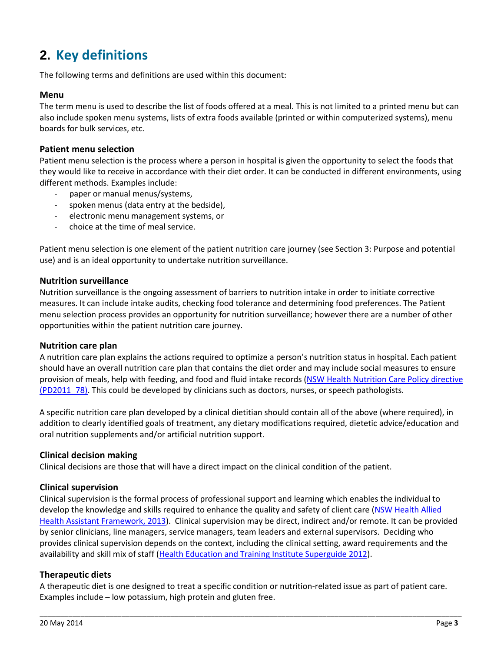### <span id="page-5-0"></span>**2. Key definitions**

The following terms and definitions are used within this document:

#### **Menu**

The term menu is used to describe the list of foods offered at a meal. This is not limited to a printed menu but can also include spoken menu systems, lists of extra foods available (printed or within computerized systems), menu boards for bulk services, etc.

#### **Patient menu selection**

Patient menu selection is the process where a person in hospital is given the opportunity to select the foods that they would like to receive in accordance with their diet order. It can be conducted in different environments, using different methods. Examples include:

- paper or manual menus/systems,
- spoken menus (data entry at the bedside),
- electronic menu management systems, or
- choice at the time of meal service.

Patient menu selection is one element of the patient nutrition care journey (see Section 3: Purpose and potential use) and is an ideal opportunity to undertake nutrition surveillance.

#### **Nutrition surveillance**

Nutrition surveillance is the ongoing assessment of barriers to nutrition intake in order to initiate corrective measures. It can include intake audits, checking food tolerance and determining food preferences. The Patient menu selection process provides an opportunity for nutrition surveillance; however there are a number of other opportunities within the patient nutrition care journey.

#### **Nutrition care plan**

A nutrition care plan explains the actions required to optimize a person's nutrition status in hospital. Each patient should have an overall nutrition care plan that contains the diet order and may include social measures to ensure provision of meals, help with feeding, and food and fluid intake records [\(NSW Health Nutrition Care Policy directive](http://www0.health.nsw.gov.au/policies/pd/2011/PD2011_078.html)  (PD2011 78). This could be developed by clinicians such as doctors, nurses, or speech pathologists.

A specific nutrition care plan developed by a clinical dietitian should contain all of the above (where required), in addition to clearly identified goals of treatment, any dietary modifications required, dietetic advice/education and oral nutrition supplements and/or artificial nutrition support.

### **Clinical decision making**

Clinical decisions are those that will have a direct impact on the clinical condition of the patient.

### **Clinical supervision**

Clinical supervision is the formal process of professional support and learning which enables the individual to develop the knowledge and skills required to enhance the quality and safety of client care [\(NSW Health Allied](http://www0.health.nsw.gov.au/policies/gl/2013/pdf/GL2013_005.pdf)  Health [Assistant Framework, 2013\)](http://www0.health.nsw.gov.au/policies/gl/2013/pdf/GL2013_005.pdf). Clinical supervision may be direct, indirect and/or remote. It can be provided by senior clinicians, line managers, service managers, team leaders and external supervisors. Deciding who provides clinical supervision depends on the context, including the clinical setting, award requirements and the availability and skill mix of staff [\(Health Education and Training Institute Superguide](http://www.heti.nsw.gov.au/news/the-superguide/) 2012).

### **Therapeutic diets**

A therapeutic diet is one designed to treat a specific condition or nutrition-related issue as part of patient care. Examples include – low potassium, high protein and gluten free.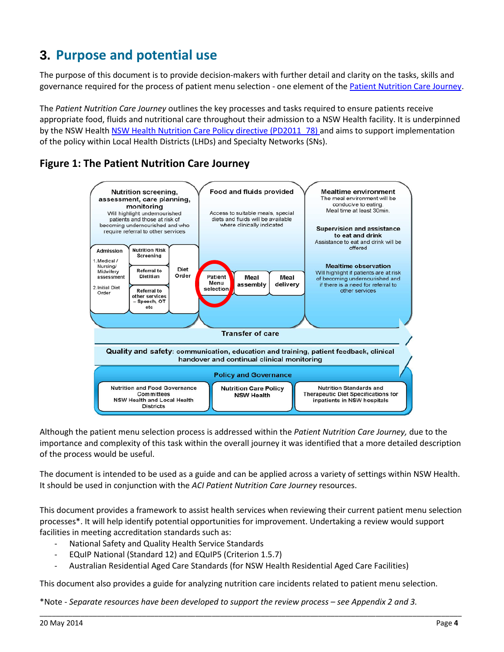### <span id="page-6-0"></span>**3. Purpose and potential use**

The purpose of this document is to provide decision-makers with further detail and clarity on the tasks, skills and governance required for the process of patient menu selection - one element of the [Patient Nutrition Care Journey.](http://www.aci.health.nsw.gov.au/resources/clinician-resources#nutrition)

The *Patient Nutrition Care Journey* outlines the key processes and tasks required to ensure patients receive appropriate food, fluids and nutritional care throughout their admission to a NSW Health facility. It is underpinned by the NSW Healt[h NSW Health Nutrition Care Policy directive \(PD2011\\_78\)](http://www0.health.nsw.gov.au/policies/pd/2011/PD2011_078.html) and aims to support implementation of the policy within Local Health Districts (LHDs) and Specialty Networks (SNs).

### **Figure 1: The Patient Nutrition Care Journey**



Although the patient menu selection process is addressed within the *Patient Nutrition Care Journey,* due to the importance and complexity of this task within the overall journey it was identified that a more detailed description of the process would be useful.

The document is intended to be used as a guide and can be applied across a variety of settings within NSW Health. It should be used in conjunction with the *ACI Patient Nutrition Care Journey* resources.

This document provides a framework to assist health services when reviewing their current patient menu selection processes\*. It will help identify potential opportunities for improvement. Undertaking a review would support facilities in meeting accreditation standards such as:

- National Safety and Quality Health Service Standards
- EQuIP National (Standard 12) and EQuIP5 (Criterion 1.5.7)
- Australian Residential Aged Care Standards (for NSW Health Residential Aged Care Facilities)

This document also provides a guide for analyzing nutrition care incidents related to patient menu selection.

\_\_\_\_\_\_\_\_\_\_\_\_\_\_\_\_\_\_\_\_\_\_\_\_\_\_\_\_\_\_\_\_\_\_\_\_\_\_\_\_\_\_\_\_\_\_\_\_\_\_\_\_\_\_\_\_\_\_\_\_\_\_\_\_\_\_\_\_\_\_\_\_\_\_\_\_\_\_\_\_\_\_\_\_\_\_\_\_\_\_\_\_\_\_\_\_\_\_\_\_\_\_\_

\*Note - *Separate resources have been developed to support the review process – see Appendix 2 and 3.*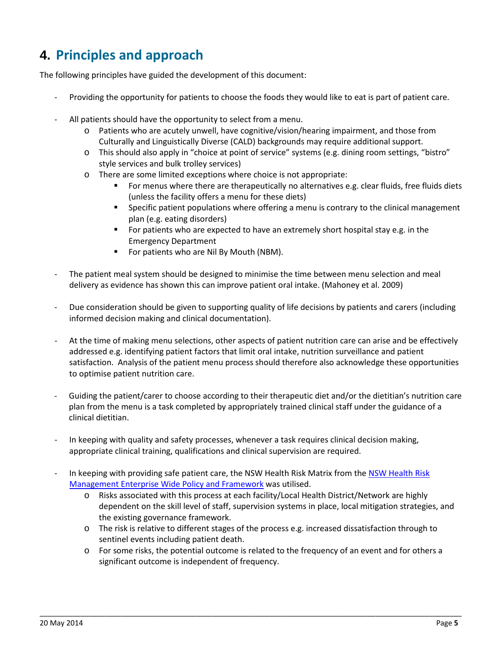### <span id="page-7-0"></span>**4. Principles and approach**

The following principles have guided the development of this document:

- Providing the opportunity for patients to choose the foods they would like to eat is part of patient care.
- All patients should have the opportunity to select from a menu.
	- o Patients who are acutely unwell, have cognitive/vision/hearing impairment, and those from Culturally and Linguistically Diverse (CALD) backgrounds may require additional support.
	- o This should also apply in "choice at point of service" systems (e.g. dining room settings, "bistro" style services and bulk trolley services)
	- o There are some limited exceptions where choice is not appropriate:
		- For menus where there are therapeutically no alternatives e.g. clear fluids, free fluids diets (unless the facility offers a menu for these diets)
		- **Specific patient populations where offering a menu is contrary to the clinical management** plan (e.g. eating disorders)
		- For patients who are expected to have an extremely short hospital stay e.g. in the Emergency Department
		- For patients who are Nil By Mouth (NBM).
- The patient meal system should be designed to minimise the time between menu selection and meal delivery as evidence has shown this can improve patient oral intake. (Mahoney et al. 2009)
- Due consideration should be given to supporting quality of life decisions by patients and carers (including informed decision making and clinical documentation).
- At the time of making menu selections, other aspects of patient nutrition care can arise and be effectively addressed e.g. identifying patient factors that limit oral intake, nutrition surveillance and patient satisfaction. Analysis of the patient menu process should therefore also acknowledge these opportunities to optimise patient nutrition care.
- Guiding the patient/carer to choose according to their therapeutic diet and/or the dietitian's nutrition care plan from the menu is a task completed by appropriately trained clinical staff under the guidance of a clinical dietitian.
- In keeping with quality and safety processes, whenever a task requires clinical decision making, appropriate clinical training, qualifications and clinical supervision are required.
- In keeping with providing safe patient care, the [NSW Health Risk](http://www0.health.nsw.gov.au/policies/pd/2009/PD2009_039.html) Matrix from the NSW Health Risk [Management Enterprise Wide Policy and Framework](http://www0.health.nsw.gov.au/policies/pd/2009/PD2009_039.html) was utilised.
	- o Risks associated with this process at each facility/Local Health District/Network are highly dependent on the skill level of staff, supervision systems in place, local mitigation strategies, and the existing governance framework.
	- o The risk is relative to different stages of the process e.g. increased dissatisfaction through to sentinel events including patient death.
	- o For some risks, the potential outcome is related to the frequency of an event and for others a significant outcome is independent of frequency.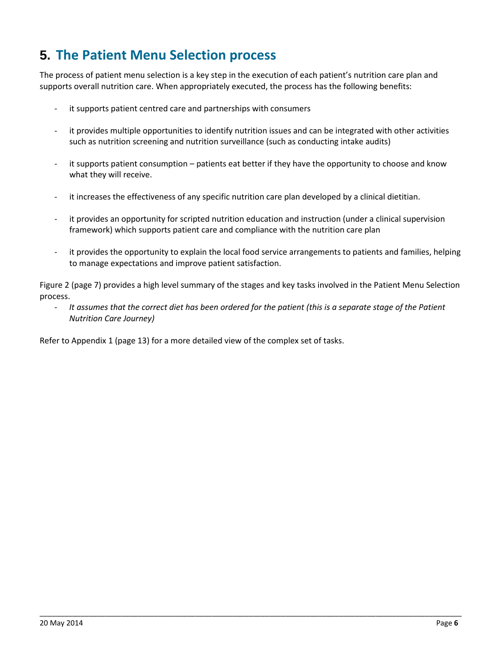### <span id="page-8-0"></span>**5. The Patient Menu Selection process**

The process of patient menu selection is a key step in the execution of each patient's nutrition care plan and supports overall nutrition care. When appropriately executed, the process has the following benefits:

- it supports patient centred care and partnerships with consumers
- it provides multiple opportunities to identify nutrition issues and can be integrated with other activities such as nutrition screening and nutrition surveillance (such as conducting intake audits)
- it supports patient consumption patients eat better if they have the opportunity to choose and know what they will receive.
- it increases the effectiveness of any specific nutrition care plan developed by a clinical dietitian.
- it provides an opportunity for scripted nutrition education and instruction (under a clinical supervision framework) which supports patient care and compliance with the nutrition care plan
- it provides the opportunity to explain the local food service arrangements to patients and families, helping to manage expectations and improve patient satisfaction.

Figure 2 (page 7) provides a high level summary of the stages and key tasks involved in the Patient Menu Selection process.

- *It assumes that the correct diet has been ordered for the patient (this is a separate stage of the Patient Nutrition Care Journey)*

\_\_\_\_\_\_\_\_\_\_\_\_\_\_\_\_\_\_\_\_\_\_\_\_\_\_\_\_\_\_\_\_\_\_\_\_\_\_\_\_\_\_\_\_\_\_\_\_\_\_\_\_\_\_\_\_\_\_\_\_\_\_\_\_\_\_\_\_\_\_\_\_\_\_\_\_\_\_\_\_\_\_\_\_\_\_\_\_\_\_\_\_\_\_\_\_\_\_\_\_\_\_\_

Refer to Appendix 1 (page 13) for a more detailed view of the complex set of tasks.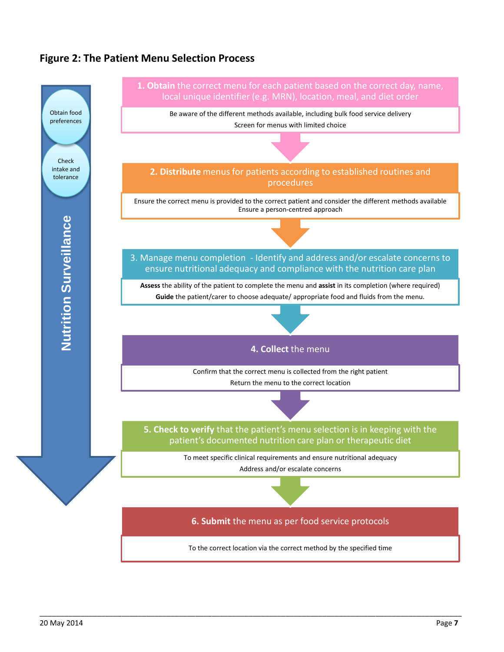### **Figure 2: The Patient Menu Selection Process**

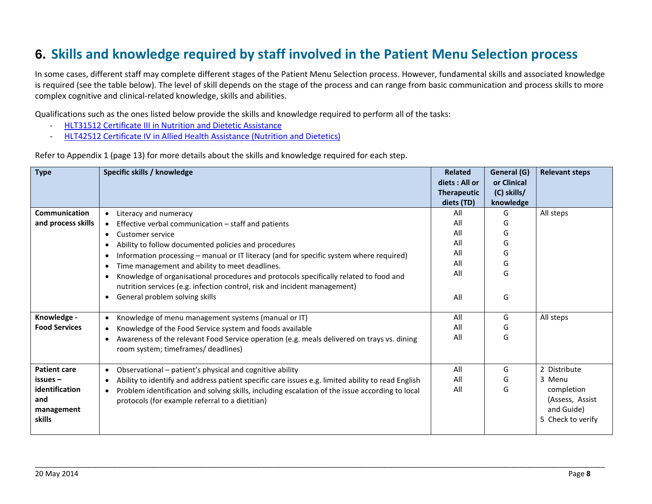### **6. Skills and knowledge required by staff involved in the Patient Menu Selection process**

In some cases, different staff may complete different stages of the Patient Menu Selection process. However, fundamental skills and associated knowledge is required (see the table below). The level of skill depends on the stage of the process and can range from basic communication and process skills to more complex cognitive and clinical-related knowledge, skills and abilities.

Qualifications such as the ones listed below provide the skills and knowledge required to perform all of the tasks:

- [HLT31512 Certificate III in Nutrition and Dietetic Assistance](http://training.gov.au/Training/Details/HLT31512)
- [HLT42512 Certificate IV in Allied Health Assistance](http://training.gov.au/Training/Details/HLT42512) (Nutrition and Dietetics)

Refer to Appendix 1 (page 13) for more details about the skills and knowledge required for each step.

<span id="page-10-0"></span>

| <b>Type</b>                                   | Specific skills / knowledge                                                                                                                                        | <b>Related</b><br>diets : All or<br><b>Therapeutic</b> | General (G)<br>or Clinical<br>(C) skills/ | <b>Relevant steps</b>                                            |
|-----------------------------------------------|--------------------------------------------------------------------------------------------------------------------------------------------------------------------|--------------------------------------------------------|-------------------------------------------|------------------------------------------------------------------|
| Communication                                 | • Literacy and numeracy                                                                                                                                            | diets (TD)<br>All                                      | knowledge<br>G                            | All steps                                                        |
| and process skills                            | • Effective verbal communication - staff and patients                                                                                                              | All                                                    | G                                         |                                                                  |
|                                               | Customer service<br>$\bullet$                                                                                                                                      | All                                                    | G                                         |                                                                  |
|                                               | Ability to follow documented policies and procedures                                                                                                               | All                                                    | G                                         |                                                                  |
|                                               | Information processing - manual or IT literacy (and for specific system where required)                                                                            | All                                                    | G                                         |                                                                  |
|                                               | Time management and ability to meet deadlines.<br>$\bullet$                                                                                                        | All                                                    | G                                         |                                                                  |
|                                               | Knowledge of organisational procedures and protocols specifically related to food and<br>nutrition services (e.g. infection control, risk and incident management) | All                                                    | G                                         |                                                                  |
|                                               | General problem solving skills<br>$\bullet$                                                                                                                        | All                                                    | G                                         |                                                                  |
| Knowledge -                                   | Knowledge of menu management systems (manual or IT)<br>$\bullet$                                                                                                   | All                                                    | G                                         | All steps                                                        |
| <b>Food Services</b>                          | Knowledge of the Food Service system and foods available<br>$\bullet$                                                                                              | All                                                    | G                                         |                                                                  |
|                                               | Awareness of the relevant Food Service operation (e.g. meals delivered on trays vs. dining<br>$\bullet$<br>room system; timeframes/ deadlines)                     | All                                                    | G                                         |                                                                  |
| <b>Patient care</b>                           | Observational - patient's physical and cognitive ability<br>$\bullet$                                                                                              | All                                                    | G                                         | 2 Distribute                                                     |
| $is -$                                        | Ability to identify and address patient specific care issues e.g. limited ability to read English<br>$\bullet$                                                     | All                                                    | G                                         | 3 Menu                                                           |
| identification<br>and<br>management<br>skills | Problem identification and solving skills, including escalation of the issue according to local<br>$\bullet$<br>protocols (for example referral to a dietitian)    | All                                                    | G                                         | completion<br>(Assess, Assist<br>and Guide)<br>5 Check to verify |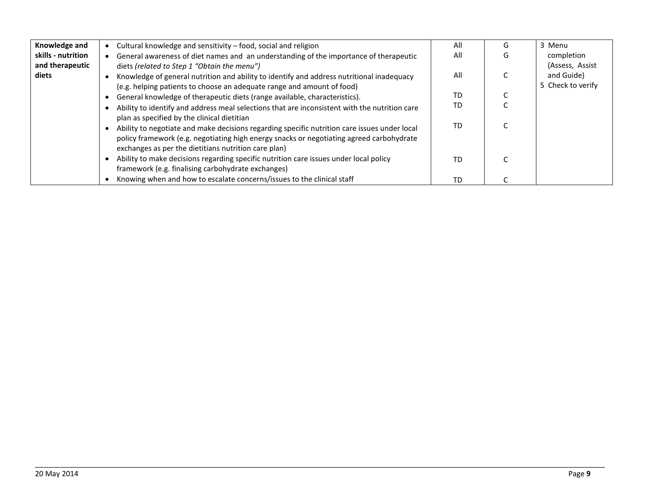| Knowledge and      | Cultural knowledge and sensitivity - food, social and religion                                | All | G | 3 Menu            |
|--------------------|-----------------------------------------------------------------------------------------------|-----|---|-------------------|
| skills - nutrition | General awareness of diet names and an understanding of the importance of therapeutic         | All |   | completion        |
| and therapeutic    | diets (related to Step 1 "Obtain the menu")                                                   |     |   | (Assess, Assist   |
| diets              | Knowledge of general nutrition and ability to identify and address nutritional inadequacy     | All |   | and Guide)        |
|                    | (e.g. helping patients to choose an adequate range and amount of food)                        |     |   | 5 Check to verify |
|                    | General knowledge of therapeutic diets (range available, characteristics).                    | TD  |   |                   |
|                    | Ability to identify and address meal selections that are inconsistent with the nutrition care | TD  |   |                   |
|                    | plan as specified by the clinical dietitian                                                   |     |   |                   |
|                    | Ability to negotiate and make decisions regarding specific nutrition care issues under local  | TD  |   |                   |
|                    | policy framework (e.g. negotiating high energy snacks or negotiating agreed carbohydrate      |     |   |                   |
|                    | exchanges as per the dietitians nutrition care plan)                                          |     |   |                   |
|                    | Ability to make decisions regarding specific nutrition care issues under local policy         | TD  |   |                   |
|                    | framework (e.g. finalising carbohydrate exchanges)                                            |     |   |                   |
|                    | Knowing when and how to escalate concerns/issues to the clinical staff                        | TD  |   |                   |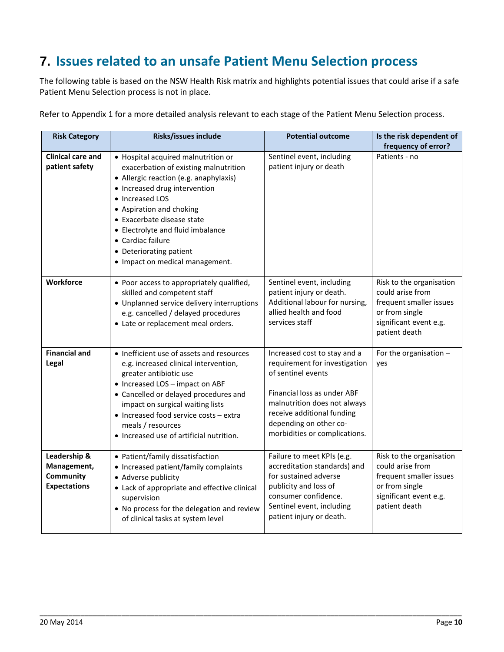### <span id="page-12-0"></span>**7. Issues related to an unsafe Patient Menu Selection process**

The following table is based on the NSW Health Risk matrix and highlights potential issues that could arise if a safe Patient Menu Selection process is not in place.

Refer to Appendix 1 for a more detailed analysis relevant to each stage of the Patient Menu Selection process.

| <b>Risk Category</b>                                            | Risks/issues include                                                                                                                                                                                                                                                                                                                                         | <b>Potential outcome</b>                                                                                                                                                                                                                    | Is the risk dependent of                                                                                                             |
|-----------------------------------------------------------------|--------------------------------------------------------------------------------------------------------------------------------------------------------------------------------------------------------------------------------------------------------------------------------------------------------------------------------------------------------------|---------------------------------------------------------------------------------------------------------------------------------------------------------------------------------------------------------------------------------------------|--------------------------------------------------------------------------------------------------------------------------------------|
| <b>Clinical care and</b><br>patient safety                      | • Hospital acquired malnutrition or<br>exacerbation of existing malnutrition<br>• Allergic reaction (e.g. anaphylaxis)<br>• Increased drug intervention<br>• Increased LOS<br>• Aspiration and choking<br>• Exacerbate disease state<br>• Electrolyte and fluid imbalance<br>• Cardiac failure<br>• Deteriorating patient<br>• Impact on medical management. | Sentinel event, including<br>patient injury or death                                                                                                                                                                                        | frequency of error?<br>Patients - no                                                                                                 |
| <b>Workforce</b>                                                | • Poor access to appropriately qualified,<br>skilled and competent staff<br>• Unplanned service delivery interruptions<br>e.g. cancelled / delayed procedures<br>• Late or replacement meal orders.                                                                                                                                                          | Sentinel event, including<br>patient injury or death.<br>Additional labour for nursing,<br>allied health and food<br>services staff                                                                                                         | Risk to the organisation<br>could arise from<br>frequent smaller issues<br>or from single<br>significant event e.g.<br>patient death |
| <b>Financial and</b><br>Legal                                   | • Inefficient use of assets and resources<br>e.g. increased clinical intervention,<br>greater antibiotic use<br>• Increased LOS - impact on ABF<br>• Cancelled or delayed procedures and<br>impact on surgical waiting lists<br>• Increased food service costs - extra<br>meals / resources<br>• Increased use of artificial nutrition.                      | Increased cost to stay and a<br>requirement for investigation<br>of sentinel events<br>Financial loss as under ABF<br>malnutrition does not always<br>receive additional funding<br>depending on other co-<br>morbidities or complications. | For the organisation $-$<br>yes                                                                                                      |
| Leadership &<br>Management,<br>Community<br><b>Expectations</b> | • Patient/family dissatisfaction<br>• Increased patient/family complaints<br>• Adverse publicity<br>• Lack of appropriate and effective clinical<br>supervision<br>• No process for the delegation and review<br>of clinical tasks at system level                                                                                                           | Failure to meet KPIs (e.g.<br>accreditation standards) and<br>for sustained adverse<br>publicity and loss of<br>consumer confidence.<br>Sentinel event, including<br>patient injury or death.                                               | Risk to the organisation<br>could arise from<br>frequent smaller issues<br>or from single<br>significant event e.g.<br>patient death |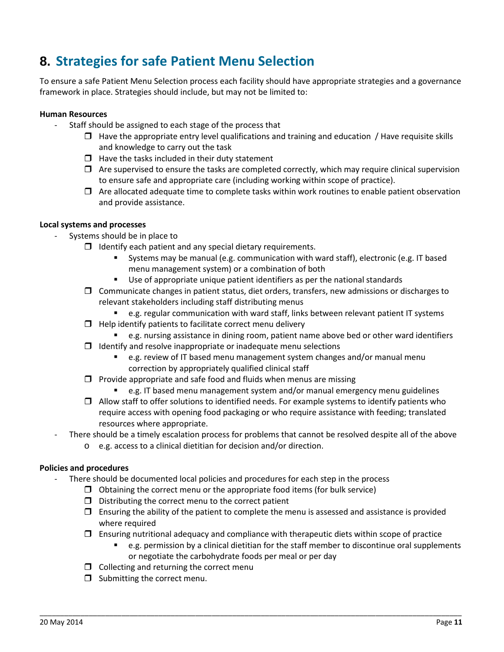### <span id="page-13-0"></span>**8. Strategies for safe Patient Menu Selection**

To ensure a safe Patient Menu Selection process each facility should have appropriate strategies and a governance framework in place. Strategies should include, but may not be limited to:

#### **Human Resources**

- Staff should be assigned to each stage of the process that
	- $\Box$  Have the appropriate entry level qualifications and training and education / Have requisite skills and knowledge to carry out the task
	- $\Box$  Have the tasks included in their duty statement
	- $\Box$  Are supervised to ensure the tasks are completed correctly, which may require clinical supervision to ensure safe and appropriate care (including working within scope of practice).
	- $\Box$  Are allocated adequate time to complete tasks within work routines to enable patient observation and provide assistance.

#### **Local systems and processes**

- Systems should be in place to
	- $\Box$  Identify each patient and any special dietary requirements.
		- Systems may be manual (e.g. communication with ward staff), electronic (e.g. IT based menu management system) or a combination of both
		- Use of appropriate unique patient identifiers as per the national standards
	- $\Box$  Communicate changes in patient status, diet orders, transfers, new admissions or discharges to relevant stakeholders including staff distributing menus
		- e.g. regular communication with ward staff, links between relevant patient IT systems
	- $\Box$  Help identify patients to facilitate correct menu delivery
		- e.g. nursing assistance in dining room, patient name above bed or other ward identifiers
	- $\Box$  Identify and resolve inappropriate or inadequate menu selections
		- e.g. review of IT based menu management system changes and/or manual menu correction by appropriately qualified clinical staff
	- $\Box$  Provide appropriate and safe food and fluids when menus are missing
		- e.g. IT based menu management system and/or manual emergency menu guidelines
	- $\Box$  Allow staff to offer solutions to identified needs. For example systems to identify patients who require access with opening food packaging or who require assistance with feeding; translated resources where appropriate.
- There should be a timely escalation process for problems that cannot be resolved despite all of the above
	- o e.g. access to a clinical dietitian for decision and/or direction.

#### **Policies and procedures**

- There should be documented local policies and procedures for each step in the process
	- $\Box$  Obtaining the correct menu or the appropriate food items (for bulk service)
	- $\Box$  Distributing the correct menu to the correct patient
	- $\Box$  Ensuring the ability of the patient to complete the menu is assessed and assistance is provided where required
	- $\Box$  Ensuring nutritional adequacy and compliance with therapeutic diets within scope of practice

- e.g. permission by a clinical dietitian for the staff member to discontinue oral supplements or negotiate the carbohydrate foods per meal or per day
- $\Box$  Collecting and returning the correct menu
- $\Box$  Submitting the correct menu.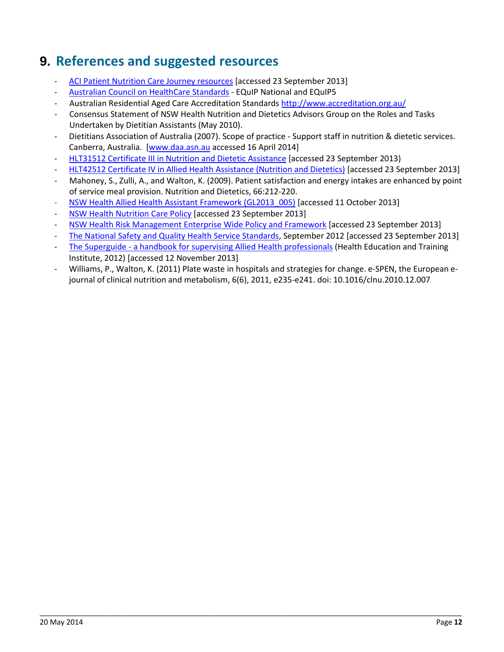### <span id="page-14-0"></span>**9. References and suggested resources**

- [ACI Patient Nutrition Care Journey resources](http://www.aci.health.nsw.gov.au/resources/clinician-resources#nutrition) [accessed 23 September 2013]
- [Australian Council on HealthCare Standards](http://www.achs.org.au/) EQuIP National and EQuIP5
- Australian Residential Aged Care Accreditation Standards<http://www.accreditation.org.au/>
- Consensus Statement of NSW Health Nutrition and Dietetics Advisors Group on the Roles and Tasks Undertaken by Dietitian Assistants (May 2010).
- Dietitians Association of Australia (2007). Scope of practice Support staff in nutrition & dietetic services. Canberra, Australia. [\[www.daa.asn.au](http://www.daa.asn.au/) accessed 16 April 2014]
- HLT31512 [Certificate III in Nutrition and Dietetic Assistance](http://training.gov.au/Training/Details/HLT31512) [accessed 23 September 2013)
- [HLT42512 Certificate IV in Allied Health Assistance](http://training.gov.au/Training/Details/HLT42512) (Nutrition and Dietetics) [accessed 23 September 2013]
- Mahoney, S., Zulli, A., and Walton, K. (2009). Patient satisfaction and energy intakes are enhanced by point of service meal provision. Nutrition and Dietetics, 66:212-220.
- [NSW Health Allied Health Assistant Framework \(GL2013\\_005\)](http://www0.health.nsw.gov.au/policies/gl/2013/GL2013_005.html) [accessed 11 October 2013]
- [NSW Health Nutrition Care Policy](http://www0.health.nsw.gov.au/policies/pd/2011/PD2011_078.html) [accessed 23 September 2013]
- [NSW Health Risk Management Enterprise Wide Policy and Framework](http://www0.health.nsw.gov.au/policies/pd/2009/PD2009_039.html) [accessed 23 September 2013]
- [The National Safety and Quality Health Service Standards,](http://www.safetyandquality.gov.au/) September 2012 [accessed 23 September 2013]
- The Superguide [a handbook for supervising Allied Health professionals](http://www.heti.nsw.gov.au/resources-library/the-superguide-a-handbook-for-supervising-allied-health-professionals/) (Health Education and Training Institute, 2012) [accessed 12 November 2013]

\_\_\_\_\_\_\_\_\_\_\_\_\_\_\_\_\_\_\_\_\_\_\_\_\_\_\_\_\_\_\_\_\_\_\_\_\_\_\_\_\_\_\_\_\_\_\_\_\_\_\_\_\_\_\_\_\_\_\_\_\_\_\_\_\_\_\_\_\_\_\_\_\_\_\_\_\_\_\_\_\_\_\_\_\_\_\_\_\_\_\_\_\_\_\_\_\_\_\_\_\_\_\_

- Williams, P., Walton, K. (2011) Plate waste in hospitals and strategies for change. e-SPEN, the European ejournal of clinical nutrition and metabolism, 6(6), 2011, e235-e241. doi: 10.1016/clnu.2010.12.007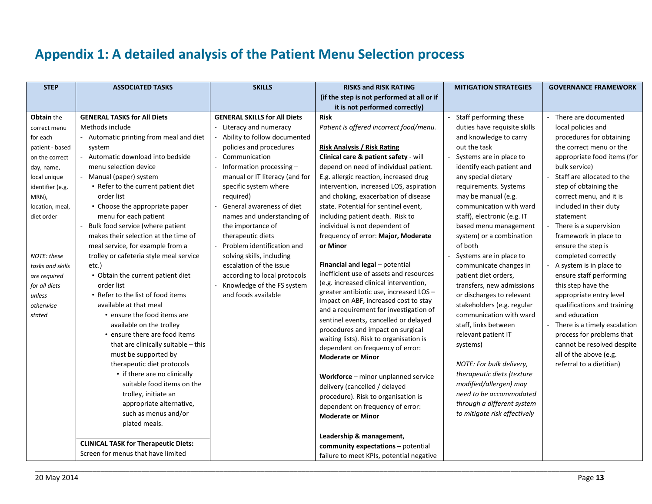### **Appendix 1: A detailed analysis of the Patient Menu Selection process**

<span id="page-15-0"></span>

| <b>STEP</b>      | <b>ASSOCIATED TASKS</b>                     | <b>SKILLS</b>                       | <b>RISKS and RISK RATING</b>                                                      | <b>MITIGATION STRATEGIES</b> | <b>GOVERNANCE FRAMEWORK</b>  |
|------------------|---------------------------------------------|-------------------------------------|-----------------------------------------------------------------------------------|------------------------------|------------------------------|
|                  |                                             |                                     | (if the step is not performed at all or if                                        |                              |                              |
|                  |                                             |                                     | it is not performed correctly)                                                    |                              |                              |
| Obtain the       | <b>GENERAL TASKS for All Diets</b>          | <b>GENERAL SKILLS for All Diets</b> | <b>Risk</b>                                                                       | Staff performing these       | There are documented         |
| correct menu     | Methods include                             | - Literacy and numeracy             | Patient is offered incorrect food/menu.                                           | duties have requisite skills | local policies and           |
| for each         | Automatic printing from meal and diet       | Ability to follow documented        |                                                                                   | and knowledge to carry       | procedures for obtaining     |
| patient - based  | system                                      | policies and procedures             | <b>Risk Analysis / Risk Rating</b>                                                | out the task                 | the correct menu or the      |
| on the correct   | Automatic download into bedside             | Communication                       | Clinical care & patient safety - will                                             | Systems are in place to      | appropriate food items (for  |
| day, name,       | menu selection device                       | Information processing-             | depend on need of individual patient.                                             | identify each patient and    | bulk service)                |
| local unique     | Manual (paper) system                       | manual or IT literacy (and for      | E.g. allergic reaction, increased drug                                            | any special dietary          | Staff are allocated to the   |
| identifier (e.g. | • Refer to the current patient diet         | specific system where               | intervention, increased LOS, aspiration                                           | requirements. Systems        | step of obtaining the        |
| MRN),            | order list                                  | required)                           | and choking, exacerbation of disease                                              | may be manual (e.g.          | correct menu, and it is      |
| location, meal,  | • Choose the appropriate paper              | General awareness of diet           | state. Potential for sentinel event,                                              | communication with ward      | included in their duty       |
| diet order       | menu for each patient                       | names and understanding of          | including patient death. Risk to                                                  | staff), electronic (e.g. IT  | statement                    |
|                  | Bulk food service (where patient            | the importance of                   | individual is not dependent of                                                    | based menu management        | There is a supervision       |
|                  | makes their selection at the time of        | therapeutic diets                   | frequency of error: Major, Moderate                                               | system) or a combination     | framework in place to        |
|                  | meal service, for example from a            | Problem identification and          | or Minor                                                                          | of both                      | ensure the step is           |
| NOTE: these      | trolley or cafeteria style meal service     | solving skills, including           |                                                                                   | Systems are in place to      | completed correctly          |
| tasks and skills | etc.)                                       | escalation of the issue             | Financial and legal - potential                                                   | communicate changes in       | A system is in place to      |
| are required     | • Obtain the current patient diet           | according to local protocols        | inefficient use of assets and resources<br>(e.g. increased clinical intervention, | patient diet orders,         | ensure staff performing      |
| for all diets    | order list                                  | Knowledge of the FS system          | greater antibiotic use, increased LOS-                                            | transfers, new admissions    | this step have the           |
| unless           | • Refer to the list of food items           | and foods available                 | impact on ABF, increased cost to stay                                             | or discharges to relevant    | appropriate entry level      |
| otherwise        | available at that meal                      |                                     | and a requirement for investigation of                                            | stakeholders (e.g. regular   | qualifications and training  |
| stated           | • ensure the food items are                 |                                     | sentinel events, cancelled or delayed                                             | communication with ward      | and education                |
|                  | available on the trolley                    |                                     | procedures and impact on surgical                                                 | staff, links between         | There is a timely escalation |
|                  | • ensure there are food items               |                                     | waiting lists). Risk to organisation is                                           | relevant patient IT          | process for problems that    |
|                  | that are clinically suitable - this         |                                     | dependent on frequency of error:                                                  | systems)                     | cannot be resolved despite   |
|                  | must be supported by                        |                                     | <b>Moderate or Minor</b>                                                          |                              | all of the above (e.g.       |
|                  | therapeutic diet protocols                  |                                     |                                                                                   | NOTE: For bulk delivery,     | referral to a dietitian)     |
|                  | • if there are no clinically                |                                     | Workforce - minor unplanned service                                               | therapeutic diets (texture   |                              |
|                  | suitable food items on the                  |                                     | delivery (cancelled / delayed                                                     | modified/allergen) may       |                              |
|                  | trolley, initiate an                        |                                     | procedure). Risk to organisation is                                               | need to be accommodated      |                              |
|                  | appropriate alternative,                    |                                     | dependent on frequency of error:                                                  | through a different system   |                              |
|                  | such as menus and/or                        |                                     | <b>Moderate or Minor</b>                                                          | to mitigate risk effectively |                              |
|                  | plated meals.                               |                                     |                                                                                   |                              |                              |
|                  |                                             |                                     | Leadership & management,                                                          |                              |                              |
|                  | <b>CLINICAL TASK for Therapeutic Diets:</b> |                                     | community expectations - potential                                                |                              |                              |
|                  | Screen for menus that have limited          |                                     | failure to meet KPIs, potential negative                                          |                              |                              |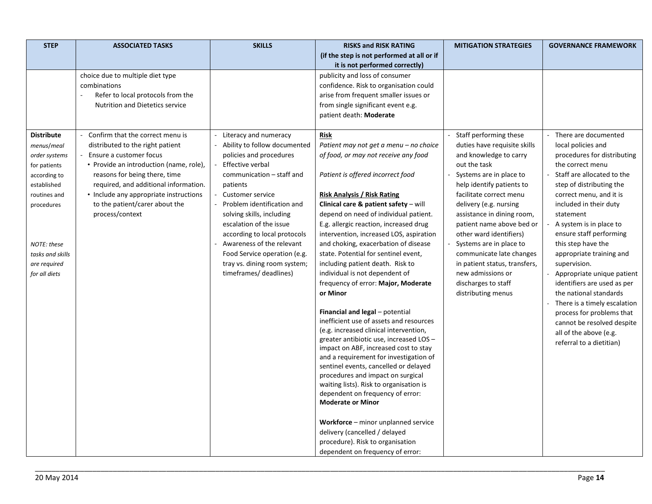| <b>STEP</b>       | <b>ASSOCIATED TASKS</b>                 | <b>SKILLS</b>                                        | <b>RISKS and RISK RATING</b>                                                      | <b>MITIGATION STRATEGIES</b>                         | <b>GOVERNANCE FRAMEWORK</b>                        |
|-------------------|-----------------------------------------|------------------------------------------------------|-----------------------------------------------------------------------------------|------------------------------------------------------|----------------------------------------------------|
|                   |                                         |                                                      | (if the step is not performed at all or if                                        |                                                      |                                                    |
|                   |                                         |                                                      | it is not performed correctly)                                                    |                                                      |                                                    |
|                   | choice due to multiple diet type        |                                                      | publicity and loss of consumer                                                    |                                                      |                                                    |
|                   | combinations                            |                                                      | confidence. Risk to organisation could                                            |                                                      |                                                    |
|                   | Refer to local protocols from the       |                                                      | arise from frequent smaller issues or                                             |                                                      |                                                    |
|                   | <b>Nutrition and Dietetics service</b>  |                                                      | from single significant event e.g.                                                |                                                      |                                                    |
|                   |                                         |                                                      | patient death: Moderate                                                           |                                                      |                                                    |
| <b>Distribute</b> | Confirm that the correct menu is        | Literacy and numeracy                                | Risk                                                                              | Staff performing these                               | There are documented                               |
| menus/meal        | distributed to the right patient        | Ability to follow documented                         | Patient may not get a menu - no choice                                            | duties have requisite skills                         | local policies and                                 |
| order systems     | Ensure a customer focus                 | policies and procedures                              | of food, or may not receive any food                                              | and knowledge to carry                               | procedures for distributing                        |
| for patients      | • Provide an introduction (name, role), | Effective verbal                                     |                                                                                   | out the task                                         | the correct menu                                   |
| according to      | reasons for being there, time           | communication - staff and                            | Patient is offered incorrect food                                                 | Systems are in place to                              | Staff are allocated to the                         |
| established       | required, and additional information.   | patients                                             |                                                                                   | help identify patients to                            | step of distributing the                           |
| routines and      | • Include any appropriate instructions  | Customer service                                     | <b>Risk Analysis / Risk Rating</b>                                                | facilitate correct menu                              | correct menu, and it is                            |
| procedures        | to the patient/carer about the          | Problem identification and                           | Clinical care & patient safety - will                                             | delivery (e.g. nursing                               | included in their duty                             |
|                   | process/context                         | solving skills, including<br>escalation of the issue | depend on need of individual patient.<br>E.g. allergic reaction, increased drug   | assistance in dining room,                           | statement                                          |
|                   |                                         | according to local protocols                         | intervention, increased LOS, aspiration                                           | patient name above bed or<br>other ward identifiers) | A system is in place to<br>ensure staff performing |
| NOTE: these       |                                         | Awareness of the relevant                            | and choking, exacerbation of disease                                              | Systems are in place to                              | this step have the                                 |
| tasks and skills  |                                         | Food Service operation (e.g.                         | state. Potential for sentinel event,                                              | communicate late changes                             | appropriate training and                           |
| are required      |                                         | tray vs. dining room system;                         | including patient death. Risk to                                                  | in patient status, transfers,                        | supervision.                                       |
| for all diets     |                                         | timeframes/ deadlines)                               | individual is not dependent of                                                    | new admissions or                                    | Appropriate unique patient                         |
|                   |                                         |                                                      | frequency of error: Major, Moderate                                               | discharges to staff                                  | identifiers are used as per                        |
|                   |                                         |                                                      | or Minor                                                                          | distributing menus                                   | the national standards                             |
|                   |                                         |                                                      |                                                                                   |                                                      | There is a timely escalation                       |
|                   |                                         |                                                      | Financial and legal - potential                                                   |                                                      | process for problems that                          |
|                   |                                         |                                                      | inefficient use of assets and resources<br>(e.g. increased clinical intervention, |                                                      | cannot be resolved despite                         |
|                   |                                         |                                                      | greater antibiotic use, increased LOS -                                           |                                                      | all of the above (e.g.                             |
|                   |                                         |                                                      | impact on ABF, increased cost to stay                                             |                                                      | referral to a dietitian)                           |
|                   |                                         |                                                      | and a requirement for investigation of                                            |                                                      |                                                    |
|                   |                                         |                                                      | sentinel events, cancelled or delayed                                             |                                                      |                                                    |
|                   |                                         |                                                      | procedures and impact on surgical                                                 |                                                      |                                                    |
|                   |                                         |                                                      | waiting lists). Risk to organisation is                                           |                                                      |                                                    |
|                   |                                         |                                                      | dependent on frequency of error:<br><b>Moderate or Minor</b>                      |                                                      |                                                    |
|                   |                                         |                                                      |                                                                                   |                                                      |                                                    |
|                   |                                         |                                                      | Workforce - minor unplanned service                                               |                                                      |                                                    |
|                   |                                         |                                                      | delivery (cancelled / delayed                                                     |                                                      |                                                    |
|                   |                                         |                                                      | procedure). Risk to organisation                                                  |                                                      |                                                    |
|                   |                                         |                                                      | dependent on frequency of error:                                                  |                                                      |                                                    |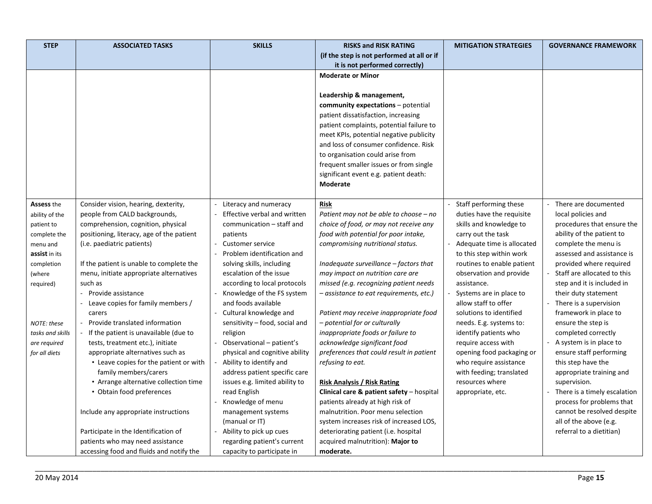| <b>STEP</b>                | <b>ASSOCIATED TASKS</b>                                             | <b>SKILLS</b>                                         | <b>RISKS and RISK RATING</b>                                                     | <b>MITIGATION STRATEGIES</b>                         | <b>GOVERNANCE FRAMEWORK</b>  |
|----------------------------|---------------------------------------------------------------------|-------------------------------------------------------|----------------------------------------------------------------------------------|------------------------------------------------------|------------------------------|
|                            |                                                                     |                                                       | (if the step is not performed at all or if                                       |                                                      |                              |
|                            |                                                                     |                                                       | it is not performed correctly)                                                   |                                                      |                              |
|                            |                                                                     |                                                       | <b>Moderate or Minor</b>                                                         |                                                      |                              |
|                            |                                                                     |                                                       |                                                                                  |                                                      |                              |
|                            |                                                                     |                                                       | Leadership & management,                                                         |                                                      |                              |
|                            |                                                                     |                                                       | community expectations - potential                                               |                                                      |                              |
|                            |                                                                     |                                                       | patient dissatisfaction, increasing                                              |                                                      |                              |
|                            |                                                                     |                                                       | patient complaints, potential failure to                                         |                                                      |                              |
|                            |                                                                     |                                                       | meet KPIs, potential negative publicity                                          |                                                      |                              |
|                            |                                                                     |                                                       | and loss of consumer confidence. Risk                                            |                                                      |                              |
|                            |                                                                     |                                                       | to organisation could arise from                                                 |                                                      |                              |
|                            |                                                                     |                                                       | frequent smaller issues or from single                                           |                                                      |                              |
|                            |                                                                     |                                                       | significant event e.g. patient death:                                            |                                                      |                              |
|                            |                                                                     |                                                       | Moderate                                                                         |                                                      |                              |
|                            |                                                                     |                                                       |                                                                                  |                                                      | - There are documented       |
| Assess the                 | Consider vision, hearing, dexterity,                                | Literacy and numeracy<br>Effective verbal and written | Risk                                                                             | - Staff performing these                             | local policies and           |
| ability of the             | people from CALD backgrounds,<br>comprehension, cognition, physical | communication - staff and                             | Patient may not be able to choose - no<br>choice of food, or may not receive any | duties have the requisite<br>skills and knowledge to | procedures that ensure the   |
| patient to<br>complete the | positioning, literacy, age of the patient                           | patients                                              | food with potential for poor intake,                                             | carry out the task                                   | ability of the patient to    |
| menu and                   | (i.e. paediatric patients)                                          | <b>Customer service</b>                               | compromising nutritional status.                                                 | Adequate time is allocated                           | complete the menu is         |
| assist in its              |                                                                     | Problem identification and                            |                                                                                  | to this step within work                             | assessed and assistance is   |
| completion                 | If the patient is unable to complete the                            | solving skills, including                             | Inadequate surveillance - factors that                                           | routines to enable patient                           | provided where required      |
| (where                     | menu, initiate appropriate alternatives                             | escalation of the issue                               | may impact on nutrition care are                                                 | observation and provide                              | Staff are allocated to this  |
| required)                  | such as                                                             | according to local protocols                          | missed (e.g. recognizing patient needs                                           | assistance.                                          | step and it is included in   |
|                            | Provide assistance                                                  | Knowledge of the FS system                            | - assistance to eat requirements, etc.)                                          | Systems are in place to                              | their duty statement         |
|                            | Leave copies for family members /                                   | and foods available                                   |                                                                                  | allow staff to offer                                 | - There is a supervision     |
|                            | carers                                                              | Cultural knowledge and                                | Patient may receive inappropriate food                                           | solutions to identified                              | framework in place to        |
| NOTE: these                | Provide translated information                                      | sensitivity - food, social and                        | - potential for or culturally                                                    | needs. E.g. systems to:                              | ensure the step is           |
| tasks and skills           | If the patient is unavailable (due to                               | religion                                              | inappropriate foods or failure to                                                | identify patients who                                | completed correctly          |
| are required               | tests, treatment etc.), initiate                                    | Observational - patient's                             | acknowledge significant food                                                     | require access with                                  | A system is in place to      |
| for all diets              | appropriate alternatives such as                                    | physical and cognitive ability                        | preferences that could result in patient                                         | opening food packaging or                            | ensure staff performing      |
|                            | • Leave copies for the patient or with                              | Ability to identify and                               | refusing to eat.                                                                 | who require assistance                               | this step have the           |
|                            | family members/carers                                               | address patient specific care                         |                                                                                  | with feeding; translated                             | appropriate training and     |
|                            | • Arrange alternative collection time                               | issues e.g. limited ability to                        | Risk Analysis / Risk Rating                                                      | resources where                                      | supervision.                 |
|                            | • Obtain food preferences                                           | read English                                          | Clinical care & patient safety - hospital                                        | appropriate, etc.                                    | There is a timely escalation |
|                            |                                                                     | Knowledge of menu                                     | patients already at high risk of                                                 |                                                      | process for problems that    |
|                            | Include any appropriate instructions                                | management systems                                    | malnutrition. Poor menu selection                                                |                                                      | cannot be resolved despite   |
|                            |                                                                     | (manual or IT)                                        | system increases risk of increased LOS,                                          |                                                      | all of the above (e.g.       |
|                            | Participate in the Identification of                                | Ability to pick up cues                               | deteriorating patient (i.e. hospital                                             |                                                      | referral to a dietitian)     |
|                            | patients who may need assistance                                    | regarding patient's current                           | acquired malnutrition): Major to                                                 |                                                      |                              |
|                            | accessing food and fluids and notify the                            | capacity to participate in                            | moderate.                                                                        |                                                      |                              |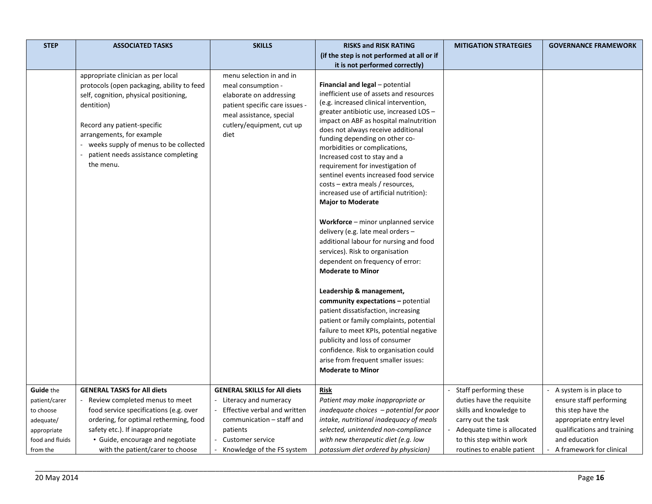| <b>STEP</b>     | <b>ASSOCIATED TASKS</b>                                                                                                                                                                                                                                                                             | <b>SKILLS</b>                                                                                                                                                                | <b>RISKS and RISK RATING</b>                                                                                                                                                                                                                                                                                                                                                                                                                                                                                                                                                                                                                                                                                                                                                                                                                                                                                                                                                                                                                                                                                              | <b>MITIGATION STRATEGIES</b> | <b>GOVERNANCE FRAMEWORK</b> |
|-----------------|-----------------------------------------------------------------------------------------------------------------------------------------------------------------------------------------------------------------------------------------------------------------------------------------------------|------------------------------------------------------------------------------------------------------------------------------------------------------------------------------|---------------------------------------------------------------------------------------------------------------------------------------------------------------------------------------------------------------------------------------------------------------------------------------------------------------------------------------------------------------------------------------------------------------------------------------------------------------------------------------------------------------------------------------------------------------------------------------------------------------------------------------------------------------------------------------------------------------------------------------------------------------------------------------------------------------------------------------------------------------------------------------------------------------------------------------------------------------------------------------------------------------------------------------------------------------------------------------------------------------------------|------------------------------|-----------------------------|
|                 |                                                                                                                                                                                                                                                                                                     |                                                                                                                                                                              | (if the step is not performed at all or if                                                                                                                                                                                                                                                                                                                                                                                                                                                                                                                                                                                                                                                                                                                                                                                                                                                                                                                                                                                                                                                                                |                              |                             |
|                 |                                                                                                                                                                                                                                                                                                     |                                                                                                                                                                              | it is not performed correctly)                                                                                                                                                                                                                                                                                                                                                                                                                                                                                                                                                                                                                                                                                                                                                                                                                                                                                                                                                                                                                                                                                            |                              |                             |
|                 | appropriate clinician as per local<br>protocols (open packaging, ability to feed<br>self, cognition, physical positioning,<br>dentition)<br>Record any patient-specific<br>arrangements, for example<br>- weeks supply of menus to be collected<br>patient needs assistance completing<br>the menu. | menu selection in and in<br>meal consumption -<br>elaborate on addressing<br>patient specific care issues -<br>meal assistance, special<br>cutlery/equipment, cut up<br>diet | Financial and legal - potential<br>inefficient use of assets and resources<br>(e.g. increased clinical intervention,<br>greater antibiotic use, increased LOS-<br>impact on ABF as hospital malnutrition<br>does not always receive additional<br>funding depending on other co-<br>morbidities or complications,<br>Increased cost to stay and a<br>requirement for investigation of<br>sentinel events increased food service<br>costs – extra meals / resources,<br>increased use of artificial nutrition):<br><b>Major to Moderate</b><br><b>Workforce</b> – minor unplanned service<br>delivery (e.g. late meal orders -<br>additional labour for nursing and food<br>services). Risk to organisation<br>dependent on frequency of error:<br><b>Moderate to Minor</b><br>Leadership & management,<br>community expectations - potential<br>patient dissatisfaction, increasing<br>patient or family complaints, potential<br>failure to meet KPIs, potential negative<br>publicity and loss of consumer<br>confidence. Risk to organisation could<br>arise from frequent smaller issues:<br><b>Moderate to Minor</b> |                              |                             |
| Guide the       | <b>GENERAL TASKS for All diets</b>                                                                                                                                                                                                                                                                  | <b>GENERAL SKILLS for All diets</b>                                                                                                                                          | Risk                                                                                                                                                                                                                                                                                                                                                                                                                                                                                                                                                                                                                                                                                                                                                                                                                                                                                                                                                                                                                                                                                                                      | Staff performing these       | A system is in place to     |
| patient/carer   | Review completed menus to meet                                                                                                                                                                                                                                                                      | - Literacy and numeracy                                                                                                                                                      | Patient may make inappropriate or                                                                                                                                                                                                                                                                                                                                                                                                                                                                                                                                                                                                                                                                                                                                                                                                                                                                                                                                                                                                                                                                                         | duties have the requisite    | ensure staff performing     |
| to choose       | food service specifications (e.g. over                                                                                                                                                                                                                                                              | Effective verbal and written                                                                                                                                                 | inadequate choices $-p$ otential for poor                                                                                                                                                                                                                                                                                                                                                                                                                                                                                                                                                                                                                                                                                                                                                                                                                                                                                                                                                                                                                                                                                 | skills and knowledge to      | this step have the          |
| adequate/       | ordering, for optimal retherming, food                                                                                                                                                                                                                                                              | communication - staff and                                                                                                                                                    | intake, nutritional inadequacy of meals                                                                                                                                                                                                                                                                                                                                                                                                                                                                                                                                                                                                                                                                                                                                                                                                                                                                                                                                                                                                                                                                                   | carry out the task           | appropriate entry level     |
| appropriate     | safety etc.). If inappropriate                                                                                                                                                                                                                                                                      | patients                                                                                                                                                                     | selected, unintended non-compliance                                                                                                                                                                                                                                                                                                                                                                                                                                                                                                                                                                                                                                                                                                                                                                                                                                                                                                                                                                                                                                                                                       | Adequate time is allocated   | qualifications and training |
| food and fluids | • Guide, encourage and negotiate                                                                                                                                                                                                                                                                    | <b>Customer service</b>                                                                                                                                                      | with new therapeutic diet (e.g. low                                                                                                                                                                                                                                                                                                                                                                                                                                                                                                                                                                                                                                                                                                                                                                                                                                                                                                                                                                                                                                                                                       | to this step within work     | and education               |
| from the        | with the patient/carer to choose                                                                                                                                                                                                                                                                    | Knowledge of the FS system                                                                                                                                                   | potassium diet ordered by physician)                                                                                                                                                                                                                                                                                                                                                                                                                                                                                                                                                                                                                                                                                                                                                                                                                                                                                                                                                                                                                                                                                      | routines to enable patient   | A framework for clinical    |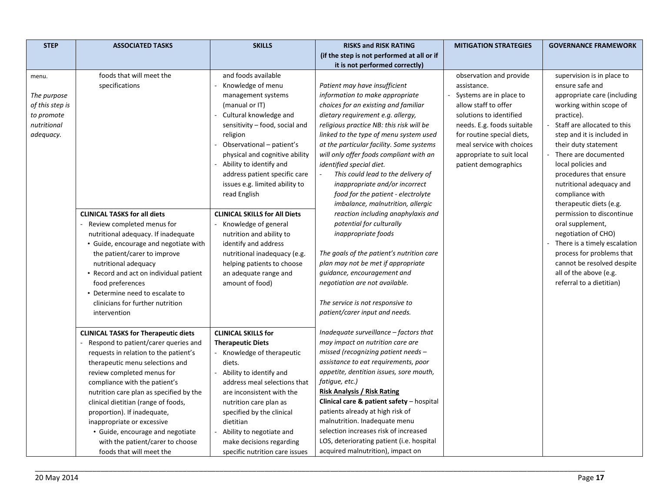| <b>STEP</b>                                                                       | <b>ASSOCIATED TASKS</b>                                                                                                                                                                                                                                                                                                                                                                                                                                                           | <b>SKILLS</b>                                                                                                                                                                                                                                                                                                                                        | <b>RISKS and RISK RATING</b>                                                                                                                                                                                                                                                                                                                                                                                                                                                                                    | <b>MITIGATION STRATEGIES</b>                                                                                                                                                                                                                                       | <b>GOVERNANCE FRAMEWORK</b>                                                                                                                                                                                                                                                                                                                                  |
|-----------------------------------------------------------------------------------|-----------------------------------------------------------------------------------------------------------------------------------------------------------------------------------------------------------------------------------------------------------------------------------------------------------------------------------------------------------------------------------------------------------------------------------------------------------------------------------|------------------------------------------------------------------------------------------------------------------------------------------------------------------------------------------------------------------------------------------------------------------------------------------------------------------------------------------------------|-----------------------------------------------------------------------------------------------------------------------------------------------------------------------------------------------------------------------------------------------------------------------------------------------------------------------------------------------------------------------------------------------------------------------------------------------------------------------------------------------------------------|--------------------------------------------------------------------------------------------------------------------------------------------------------------------------------------------------------------------------------------------------------------------|--------------------------------------------------------------------------------------------------------------------------------------------------------------------------------------------------------------------------------------------------------------------------------------------------------------------------------------------------------------|
|                                                                                   |                                                                                                                                                                                                                                                                                                                                                                                                                                                                                   |                                                                                                                                                                                                                                                                                                                                                      | (if the step is not performed at all or if                                                                                                                                                                                                                                                                                                                                                                                                                                                                      |                                                                                                                                                                                                                                                                    |                                                                                                                                                                                                                                                                                                                                                              |
|                                                                                   |                                                                                                                                                                                                                                                                                                                                                                                                                                                                                   |                                                                                                                                                                                                                                                                                                                                                      | it is not performed correctly)                                                                                                                                                                                                                                                                                                                                                                                                                                                                                  |                                                                                                                                                                                                                                                                    |                                                                                                                                                                                                                                                                                                                                                              |
| menu.<br>The purpose<br>of this step is<br>to promote<br>nutritional<br>adequacy. | foods that will meet the<br>specifications                                                                                                                                                                                                                                                                                                                                                                                                                                        | and foods available<br>Knowledge of menu<br>management systems<br>(manual or IT)<br>Cultural knowledge and<br>sensitivity - food, social and<br>religion<br>Observational - patient's<br>physical and cognitive ability<br>Ability to identify and<br>address patient specific care<br>issues e.g. limited ability to<br>read English                | Patient may have insufficient<br>information to make appropriate<br>choices for an existing and familiar<br>dietary requirement e.g. allergy,<br>religious practice NB: this risk will be<br>linked to the type of menu system used<br>at the particular facility. Some systems<br>will only offer foods compliant with an<br>identified special diet.<br>This could lead to the delivery of<br>inappropriate and/or incorrect<br>food for the patient - electrolyte<br>imbalance, malnutrition, allergic       | observation and provide<br>assistance.<br>Systems are in place to<br>allow staff to offer<br>solutions to identified<br>needs. E.g. foods suitable<br>for routine special diets,<br>meal service with choices<br>appropriate to suit local<br>patient demographics | supervision is in place to<br>ensure safe and<br>appropriate care (including<br>working within scope of<br>practice).<br>Staff are allocated to this<br>step and it is included in<br>their duty statement<br>There are documented<br>local policies and<br>procedures that ensure<br>nutritional adequacy and<br>compliance with<br>therapeutic diets (e.g. |
|                                                                                   | <b>CLINICAL TASKS for all diets</b><br>Review completed menus for<br>nutritional adequacy. If inadequate<br>• Guide, encourage and negotiate with<br>the patient/carer to improve<br>nutritional adequacy<br>• Record and act on individual patient<br>food preferences<br>• Determine need to escalate to<br>clinicians for further nutrition<br>intervention                                                                                                                    | <b>CLINICAL SKILLS for All Diets</b><br>- Knowledge of general<br>nutrition and ability to<br>identify and address<br>nutritional inadequacy (e.g.<br>helping patients to choose<br>an adequate range and<br>amount of food)                                                                                                                         | reaction including anaphylaxis and<br>potential for culturally<br>inappropriate foods<br>The goals of the patient's nutrition care<br>plan may not be met if appropriate<br>guidance, encouragement and<br>negotiation are not available.<br>The service is not responsive to<br>patient/carer input and needs.                                                                                                                                                                                                 |                                                                                                                                                                                                                                                                    | permission to discontinue<br>oral supplement,<br>negotiation of CHO)<br>There is a timely escalation<br>process for problems that<br>cannot be resolved despite<br>all of the above (e.g.<br>referral to a dietitian)                                                                                                                                        |
|                                                                                   | <b>CLINICAL TASKS for Therapeutic diets</b><br>Respond to patient/carer queries and<br>requests in relation to the patient's<br>therapeutic menu selections and<br>review completed menus for<br>compliance with the patient's<br>nutrition care plan as specified by the<br>clinical dietitian (range of foods,<br>proportion). If inadequate,<br>inappropriate or excessive<br>· Guide, encourage and negotiate<br>with the patient/carer to choose<br>foods that will meet the | <b>CLINICAL SKILLS for</b><br><b>Therapeutic Diets</b><br>- Knowledge of therapeutic<br>diets.<br>Ability to identify and<br>address meal selections that<br>are inconsistent with the<br>nutrition care plan as<br>specified by the clinical<br>dietitian<br>Ability to negotiate and<br>make decisions regarding<br>specific nutrition care issues | Inadequate surveillance $-$ factors that<br>may impact on nutrition care are<br>missed (recognizing patient needs $-$<br>assistance to eat requirements, poor<br>appetite, dentition issues, sore mouth,<br>fatigue, etc.)<br><b>Risk Analysis / Risk Rating</b><br>Clinical care & patient safety $-$ hospital<br>patients already at high risk of<br>malnutrition. Inadequate menu<br>selection increases risk of increased<br>LOS, deteriorating patient (i.e. hospital<br>acquired malnutrition), impact on |                                                                                                                                                                                                                                                                    |                                                                                                                                                                                                                                                                                                                                                              |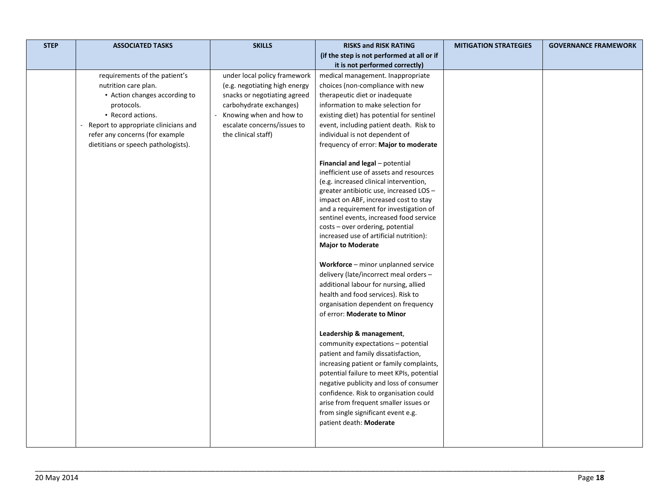| <b>STEP</b> | <b>ASSOCIATED TASKS</b>              | <b>SKILLS</b>                 | <b>RISKS and RISK RATING</b>                                                                                                                                                                                                                                                                                                                                                                                                                                                                                                                                                                                                                                                                                                                           | <b>MITIGATION STRATEGIES</b> | <b>GOVERNANCE FRAMEWORK</b> |
|-------------|--------------------------------------|-------------------------------|--------------------------------------------------------------------------------------------------------------------------------------------------------------------------------------------------------------------------------------------------------------------------------------------------------------------------------------------------------------------------------------------------------------------------------------------------------------------------------------------------------------------------------------------------------------------------------------------------------------------------------------------------------------------------------------------------------------------------------------------------------|------------------------------|-----------------------------|
|             |                                      |                               | (if the step is not performed at all or if                                                                                                                                                                                                                                                                                                                                                                                                                                                                                                                                                                                                                                                                                                             |                              |                             |
|             |                                      |                               | it is not performed correctly)                                                                                                                                                                                                                                                                                                                                                                                                                                                                                                                                                                                                                                                                                                                         |                              |                             |
|             | requirements of the patient's        | under local policy framework  | medical management. Inappropriate                                                                                                                                                                                                                                                                                                                                                                                                                                                                                                                                                                                                                                                                                                                      |                              |                             |
|             | nutrition care plan.                 | (e.g. negotiating high energy | choices (non-compliance with new                                                                                                                                                                                                                                                                                                                                                                                                                                                                                                                                                                                                                                                                                                                       |                              |                             |
|             | • Action changes according to        | snacks or negotiating agreed  | therapeutic diet or inadequate                                                                                                                                                                                                                                                                                                                                                                                                                                                                                                                                                                                                                                                                                                                         |                              |                             |
|             | protocols.                           | carbohydrate exchanges)       | information to make selection for                                                                                                                                                                                                                                                                                                                                                                                                                                                                                                                                                                                                                                                                                                                      |                              |                             |
|             | • Record actions.                    | Knowing when and how to       | existing diet) has potential for sentinel                                                                                                                                                                                                                                                                                                                                                                                                                                                                                                                                                                                                                                                                                                              |                              |                             |
|             | Report to appropriate clinicians and | escalate concerns/issues to   | event, including patient death. Risk to                                                                                                                                                                                                                                                                                                                                                                                                                                                                                                                                                                                                                                                                                                                |                              |                             |
|             | refer any concerns (for example      | the clinical staff)           | individual is not dependent of                                                                                                                                                                                                                                                                                                                                                                                                                                                                                                                                                                                                                                                                                                                         |                              |                             |
|             | dietitians or speech pathologists).  |                               | frequency of error: Major to moderate                                                                                                                                                                                                                                                                                                                                                                                                                                                                                                                                                                                                                                                                                                                  |                              |                             |
|             |                                      |                               | Financial and legal - potential<br>inefficient use of assets and resources<br>(e.g. increased clinical intervention,<br>greater antibiotic use, increased LOS-<br>impact on ABF, increased cost to stay<br>and a requirement for investigation of<br>sentinel events, increased food service<br>costs - over ordering, potential<br>increased use of artificial nutrition):<br><b>Major to Moderate</b><br>Workforce - minor unplanned service<br>delivery (late/incorrect meal orders -<br>additional labour for nursing, allied<br>health and food services). Risk to<br>organisation dependent on frequency<br>of error: Moderate to Minor<br>Leadership & management,<br>community expectations - potential<br>patient and family dissatisfaction, |                              |                             |
|             |                                      |                               | increasing patient or family complaints,<br>potential failure to meet KPIs, potential<br>negative publicity and loss of consumer                                                                                                                                                                                                                                                                                                                                                                                                                                                                                                                                                                                                                       |                              |                             |
|             |                                      |                               | confidence. Risk to organisation could<br>arise from frequent smaller issues or<br>from single significant event e.g.<br>patient death: Moderate                                                                                                                                                                                                                                                                                                                                                                                                                                                                                                                                                                                                       |                              |                             |
|             |                                      |                               |                                                                                                                                                                                                                                                                                                                                                                                                                                                                                                                                                                                                                                                                                                                                                        |                              |                             |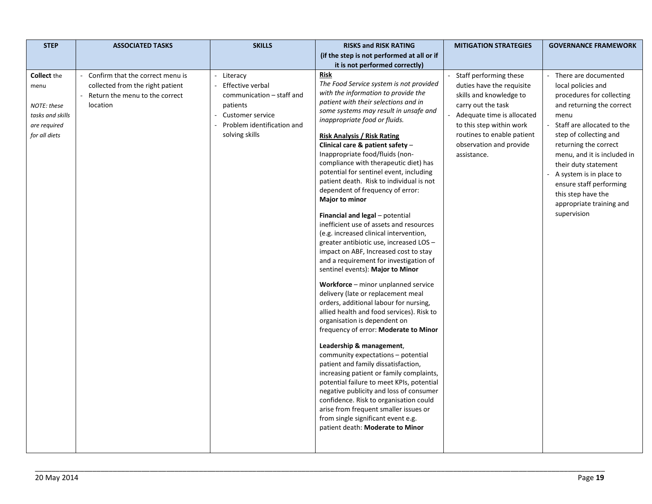| (if the step is not performed at all or if                                                                                                                                                                                                                                                                                                                                                                                                                                                                                                                                                                                                                                                                                                                                                                                                                                                                                                                                                                                                                                                                                                                                                                                                                                                                                                                                                                                                                                                                                                                                                                                                                                                                                                                                                                                                                                                                                                                                                                                                                                                                                                                                                                                                                                                                                                                                                                                                                                 |
|----------------------------------------------------------------------------------------------------------------------------------------------------------------------------------------------------------------------------------------------------------------------------------------------------------------------------------------------------------------------------------------------------------------------------------------------------------------------------------------------------------------------------------------------------------------------------------------------------------------------------------------------------------------------------------------------------------------------------------------------------------------------------------------------------------------------------------------------------------------------------------------------------------------------------------------------------------------------------------------------------------------------------------------------------------------------------------------------------------------------------------------------------------------------------------------------------------------------------------------------------------------------------------------------------------------------------------------------------------------------------------------------------------------------------------------------------------------------------------------------------------------------------------------------------------------------------------------------------------------------------------------------------------------------------------------------------------------------------------------------------------------------------------------------------------------------------------------------------------------------------------------------------------------------------------------------------------------------------------------------------------------------------------------------------------------------------------------------------------------------------------------------------------------------------------------------------------------------------------------------------------------------------------------------------------------------------------------------------------------------------------------------------------------------------------------------------------------------------|
|                                                                                                                                                                                                                                                                                                                                                                                                                                                                                                                                                                                                                                                                                                                                                                                                                                                                                                                                                                                                                                                                                                                                                                                                                                                                                                                                                                                                                                                                                                                                                                                                                                                                                                                                                                                                                                                                                                                                                                                                                                                                                                                                                                                                                                                                                                                                                                                                                                                                            |
| it is not performed correctly)                                                                                                                                                                                                                                                                                                                                                                                                                                                                                                                                                                                                                                                                                                                                                                                                                                                                                                                                                                                                                                                                                                                                                                                                                                                                                                                                                                                                                                                                                                                                                                                                                                                                                                                                                                                                                                                                                                                                                                                                                                                                                                                                                                                                                                                                                                                                                                                                                                             |
| <b>Risk</b><br>Staff performing these<br>There are documented<br><b>Collect</b> the<br>Confirm that the correct menu is<br>Literacy<br>The Food Service system is not provided<br>collected from the right patient<br>Effective verbal<br>duties have the requisite<br>local policies and<br>menu<br>with the information to provide the<br>Return the menu to the correct<br>communication - staff and<br>skills and knowledge to<br>procedures for collecting<br>patient with their selections and in<br>NOTE: these<br>location<br>patients<br>carry out the task<br>and returning the correct<br>some systems may result in unsafe and<br><b>Customer service</b><br>Adequate time is allocated<br>tasks and skills<br>menu<br>inappropriate food or fluids.<br>Problem identification and<br>Staff are allocated to the<br>to this step within work<br>are required<br>for all diets<br>solving skills<br>routines to enable patient<br>step of collecting and<br><b>Risk Analysis / Risk Rating</b><br>Clinical care & patient safety $-$<br>observation and provide<br>returning the correct<br>Inappropriate food/fluids (non-<br>assistance.<br>menu, and it is included in<br>compliance with therapeutic diet) has<br>their duty statement<br>potential for sentinel event, including<br>A system is in place to<br>patient death. Risk to individual is not<br>ensure staff performing<br>dependent of frequency of error:<br>this step have the<br>Major to minor<br>appropriate training and<br>supervision<br>Financial and legal - potential<br>inefficient use of assets and resources<br>(e.g. increased clinical intervention,<br>greater antibiotic use, increased LOS -<br>impact on ABF, Increased cost to stay<br>and a requirement for investigation of<br>sentinel events): Major to Minor<br>Workforce - minor unplanned service<br>delivery (late or replacement meal<br>orders, additional labour for nursing,<br>allied health and food services). Risk to<br>organisation is dependent on<br>frequency of error: Moderate to Minor<br>Leadership & management,<br>community expectations - potential<br>patient and family dissatisfaction,<br>increasing patient or family complaints,<br>potential failure to meet KPIs, potential<br>negative publicity and loss of consumer<br>confidence. Risk to organisation could<br>arise from frequent smaller issues or<br>from single significant event e.g.<br>patient death: Moderate to Minor |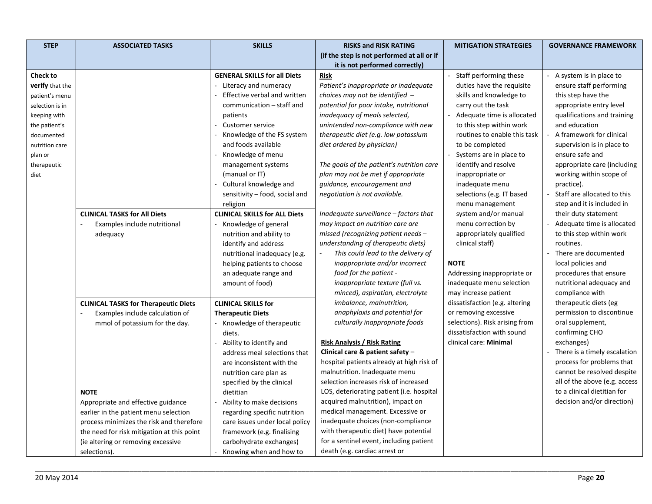| <b>STEP</b>            | <b>ASSOCIATED TASKS</b>                     | <b>SKILLS</b>                        | <b>RISKS and RISK RATING</b>               | <b>MITIGATION STRATEGIES</b>   | <b>GOVERNANCE FRAMEWORK</b>   |
|------------------------|---------------------------------------------|--------------------------------------|--------------------------------------------|--------------------------------|-------------------------------|
|                        |                                             |                                      | (if the step is not performed at all or if |                                |                               |
|                        |                                             |                                      | it is not performed correctly)             |                                |                               |
| <b>Check to</b>        |                                             | <b>GENERAL SKILLS for all Diets</b>  | <b>Risk</b>                                | Staff performing these         | A system is in place to       |
| <b>verify</b> that the |                                             | - Literacy and numeracy              | Patient's inappropriate or inadequate      | duties have the requisite      | ensure staff performing       |
| patient's menu         |                                             | Effective verbal and written         | choices may not be identified $-$          | skills and knowledge to        | this step have the            |
| selection is in        |                                             | communication - staff and            | potential for poor intake, nutritional     | carry out the task             | appropriate entry level       |
| keeping with           |                                             | patients                             | inadequacy of meals selected,              | Adequate time is allocated     | qualifications and training   |
| the patient's          |                                             | Customer service                     | unintended non-compliance with new         | to this step within work       | and education                 |
| documented             |                                             | Knowledge of the FS system           | therapeutic diet (e.g. low potassium       | routines to enable this task   | A framework for clinical      |
| nutrition care         |                                             | and foods available                  | diet ordered by physician)                 | to be completed                | supervision is in place to    |
| plan or                |                                             | Knowledge of menu                    |                                            | Systems are in place to        | ensure safe and               |
| therapeutic            |                                             | management systems                   | The goals of the patient's nutrition care  | identify and resolve           | appropriate care (including   |
| diet                   |                                             | (manual or IT)                       | plan may not be met if appropriate         | inappropriate or               | working within scope of       |
|                        |                                             | Cultural knowledge and               | guidance, encouragement and                | inadequate menu                | practice).                    |
|                        |                                             | sensitivity – food, social and       | negotiation is not available.              | selections (e.g. IT based      | Staff are allocated to this   |
|                        |                                             | religion                             |                                            | menu management                | step and it is included in    |
|                        | <b>CLINICAL TASKS for All Diets</b>         | <b>CLINICAL SKILLS for ALL Diets</b> | Inadequate surveillance - factors that     | system and/or manual           | their duty statement          |
|                        | Examples include nutritional                | - Knowledge of general               | may impact on nutrition care are           | menu correction by             | Adequate time is allocated    |
|                        | adequacy                                    | nutrition and ability to             | missed (recognizing patient needs -        | appropriately qualified        | to this step within work      |
|                        |                                             | identify and address                 | understanding of therapeutic diets)        | clinical staff)                | routines.                     |
|                        |                                             | nutritional inadequacy (e.g.         | This could lead to the delivery of         |                                | There are documented          |
|                        |                                             | helping patients to choose           | inappropriate and/or incorrect             | <b>NOTE</b>                    | local policies and            |
|                        |                                             | an adequate range and                | food for the patient -                     | Addressing inappropriate or    | procedures that ensure        |
|                        |                                             | amount of food)                      | inappropriate texture (full vs.            | inadequate menu selection      | nutritional adequacy and      |
|                        |                                             |                                      | minced), aspiration, electrolyte           | may increase patient           | compliance with               |
|                        | <b>CLINICAL TASKS for Therapeutic Diets</b> | <b>CLINICAL SKILLS for</b>           | imbalance, malnutrition,                   | dissatisfaction (e.g. altering | therapeutic diets (eg         |
|                        | Examples include calculation of             | <b>Therapeutic Diets</b>             | anaphylaxis and potential for              | or removing excessive          | permission to discontinue     |
|                        | mmol of potassium for the day.              | - Knowledge of therapeutic           | culturally inappropriate foods             | selections). Risk arising from | oral supplement,              |
|                        |                                             | diets.                               |                                            | dissatisfaction with sound     | confirming CHO                |
|                        |                                             | Ability to identify and              | <b>Risk Analysis / Risk Rating</b>         | clinical care: Minimal         | exchanges)                    |
|                        |                                             | address meal selections that         | Clinical care & patient safety $-$         |                                | There is a timely escalation  |
|                        |                                             | are inconsistent with the            | hospital patients already at high risk of  |                                | process for problems that     |
|                        |                                             | nutrition care plan as               | malnutrition. Inadequate menu              |                                | cannot be resolved despite    |
|                        |                                             | specified by the clinical            | selection increases risk of increased      |                                | all of the above (e.g. access |
|                        | <b>NOTE</b>                                 | dietitian                            | LOS, deteriorating patient (i.e. hospital  |                                | to a clinical dietitian for   |
|                        | Appropriate and effective guidance          | Ability to make decisions            | acquired malnutrition), impact on          |                                | decision and/or direction)    |
|                        | earlier in the patient menu selection       | regarding specific nutrition         | medical management. Excessive or           |                                |                               |
|                        | process minimizes the risk and therefore    | care issues under local policy       | inadequate choices (non-compliance         |                                |                               |
|                        | the need for risk mitigation at this point  | framework (e.g. finalising           | with therapeutic diet) have potential      |                                |                               |
|                        | (ie altering or removing excessive          | carbohydrate exchanges)              | for a sentinel event, including patient    |                                |                               |
|                        | selections).                                | Knowing when and how to              | death (e.g. cardiac arrest or              |                                |                               |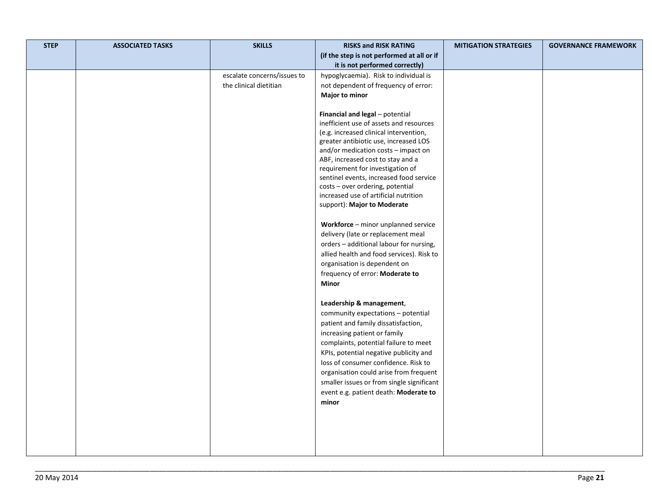| <b>STEP</b> | <b>ASSOCIATED TASKS</b> | <b>SKILLS</b>               | <b>RISKS and RISK RATING</b>                                                | <b>MITIGATION STRATEGIES</b> | <b>GOVERNANCE FRAMEWORK</b> |
|-------------|-------------------------|-----------------------------|-----------------------------------------------------------------------------|------------------------------|-----------------------------|
|             |                         |                             | (if the step is not performed at all or if                                  |                              |                             |
|             |                         |                             | it is not performed correctly)                                              |                              |                             |
|             |                         | escalate concerns/issues to | hypoglycaemia). Risk to individual is                                       |                              |                             |
|             |                         | the clinical dietitian      | not dependent of frequency of error:                                        |                              |                             |
|             |                         |                             | <b>Major to minor</b>                                                       |                              |                             |
|             |                         |                             |                                                                             |                              |                             |
|             |                         |                             | Financial and legal - potential                                             |                              |                             |
|             |                         |                             | inefficient use of assets and resources                                     |                              |                             |
|             |                         |                             | (e.g. increased clinical intervention,                                      |                              |                             |
|             |                         |                             | greater antibiotic use, increased LOS                                       |                              |                             |
|             |                         |                             | and/or medication costs - impact on                                         |                              |                             |
|             |                         |                             | ABF, increased cost to stay and a                                           |                              |                             |
|             |                         |                             | requirement for investigation of                                            |                              |                             |
|             |                         |                             | sentinel events, increased food service<br>costs - over ordering, potential |                              |                             |
|             |                         |                             | increased use of artificial nutrition                                       |                              |                             |
|             |                         |                             | support): Major to Moderate                                                 |                              |                             |
|             |                         |                             |                                                                             |                              |                             |
|             |                         |                             | Workforce - minor unplanned service                                         |                              |                             |
|             |                         |                             | delivery (late or replacement meal                                          |                              |                             |
|             |                         |                             | orders - additional labour for nursing,                                     |                              |                             |
|             |                         |                             | allied health and food services). Risk to                                   |                              |                             |
|             |                         |                             | organisation is dependent on                                                |                              |                             |
|             |                         |                             | frequency of error: Moderate to                                             |                              |                             |
|             |                         |                             | Minor                                                                       |                              |                             |
|             |                         |                             |                                                                             |                              |                             |
|             |                         |                             | Leadership & management,                                                    |                              |                             |
|             |                         |                             | community expectations - potential                                          |                              |                             |
|             |                         |                             | patient and family dissatisfaction,                                         |                              |                             |
|             |                         |                             | increasing patient or family                                                |                              |                             |
|             |                         |                             | complaints, potential failure to meet                                       |                              |                             |
|             |                         |                             | KPIs, potential negative publicity and                                      |                              |                             |
|             |                         |                             | loss of consumer confidence. Risk to                                        |                              |                             |
|             |                         |                             | organisation could arise from frequent                                      |                              |                             |
|             |                         |                             | smaller issues or from single significant                                   |                              |                             |
|             |                         |                             | event e.g. patient death: Moderate to                                       |                              |                             |
|             |                         |                             | minor                                                                       |                              |                             |
|             |                         |                             |                                                                             |                              |                             |
|             |                         |                             |                                                                             |                              |                             |
|             |                         |                             |                                                                             |                              |                             |
|             |                         |                             |                                                                             |                              |                             |
|             |                         |                             |                                                                             |                              |                             |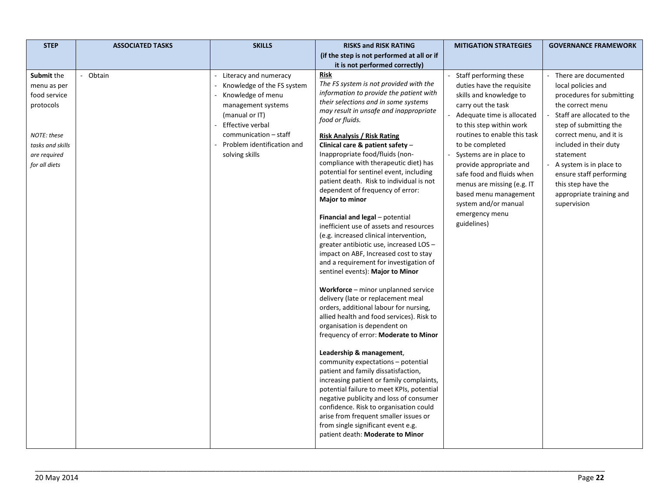| <b>STEP</b>                                                   | <b>ASSOCIATED TASKS</b> | <b>SKILLS</b>                                                                                                                                 | <b>RISKS and RISK RATING</b>                                                                                                                                                                                                                                                                                                                                                                                                                                                                                                        | <b>MITIGATION STRATEGIES</b>                                                                                                                                                                        | <b>GOVERNANCE FRAMEWORK</b>                                                                                                                                |
|---------------------------------------------------------------|-------------------------|-----------------------------------------------------------------------------------------------------------------------------------------------|-------------------------------------------------------------------------------------------------------------------------------------------------------------------------------------------------------------------------------------------------------------------------------------------------------------------------------------------------------------------------------------------------------------------------------------------------------------------------------------------------------------------------------------|-----------------------------------------------------------------------------------------------------------------------------------------------------------------------------------------------------|------------------------------------------------------------------------------------------------------------------------------------------------------------|
|                                                               |                         |                                                                                                                                               | (if the step is not performed at all or if                                                                                                                                                                                                                                                                                                                                                                                                                                                                                          |                                                                                                                                                                                                     |                                                                                                                                                            |
|                                                               |                         |                                                                                                                                               | it is not performed correctly)                                                                                                                                                                                                                                                                                                                                                                                                                                                                                                      |                                                                                                                                                                                                     |                                                                                                                                                            |
| <b>Submit the</b><br>menu as per<br>food service<br>protocols | Obtain                  | - Literacy and numeracy<br>Knowledge of the FS system<br>Knowledge of menu<br>management systems<br>(manual or IT)<br><b>Effective verbal</b> | Risk<br>The FS system is not provided with the<br>information to provide the patient with<br>their selections and in some systems<br>may result in unsafe and inappropriate<br>food or fluids.                                                                                                                                                                                                                                                                                                                                      | Staff performing these<br>duties have the requisite<br>skills and knowledge to<br>carry out the task<br>Adequate time is allocated<br>to this step within work                                      | - There are documented<br>local policies and<br>procedures for submitting<br>the correct menu<br>Staff are allocated to the<br>step of submitting the      |
| NOTE: these                                                   |                         | communication - staff                                                                                                                         | <b>Risk Analysis / Risk Rating</b>                                                                                                                                                                                                                                                                                                                                                                                                                                                                                                  | routines to enable this task                                                                                                                                                                        | correct menu, and it is                                                                                                                                    |
| tasks and skills<br>are required<br>for all diets             |                         | Problem identification and<br>solving skills                                                                                                  | Clinical care & patient safety -<br>Inappropriate food/fluids (non-<br>compliance with therapeutic diet) has<br>potential for sentinel event, including<br>patient death. Risk to individual is not<br>dependent of frequency of error:<br>Major to minor                                                                                                                                                                                                                                                                           | to be completed<br>Systems are in place to<br>provide appropriate and<br>safe food and fluids when<br>menus are missing (e.g. IT<br>based menu management<br>system and/or manual<br>emergency menu | included in their duty<br>statement<br>A system is in place to<br>ensure staff performing<br>this step have the<br>appropriate training and<br>supervision |
|                                                               |                         |                                                                                                                                               | Financial and legal - potential<br>inefficient use of assets and resources<br>(e.g. increased clinical intervention,<br>greater antibiotic use, increased LOS -<br>impact on ABF, Increased cost to stay<br>and a requirement for investigation of<br>sentinel events): Major to Minor<br>Workforce - minor unplanned service<br>delivery (late or replacement meal<br>orders, additional labour for nursing,<br>allied health and food services). Risk to<br>organisation is dependent on<br>frequency of error: Moderate to Minor | guidelines)                                                                                                                                                                                         |                                                                                                                                                            |
|                                                               |                         |                                                                                                                                               | Leadership & management,<br>community expectations - potential<br>patient and family dissatisfaction,<br>increasing patient or family complaints,<br>potential failure to meet KPIs, potential<br>negative publicity and loss of consumer<br>confidence. Risk to organisation could<br>arise from frequent smaller issues or<br>from single significant event e.g.<br>patient death: Moderate to Minor                                                                                                                              |                                                                                                                                                                                                     |                                                                                                                                                            |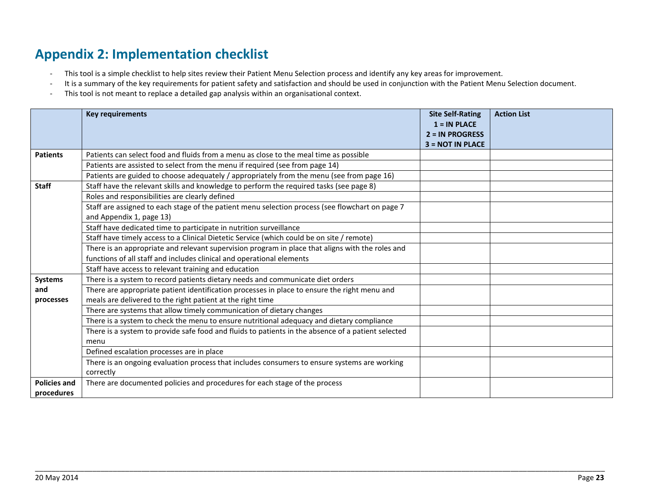### **Appendix 2: Implementation checklist**

- This tool is a simple checklist to help sites review their Patient Menu Selection process and identify any key areas for improvement.
- It is a summary of the key requirements for patient safety and satisfaction and should be used in conjunction with the Patient Menu Selection document.
- This tool is not meant to replace a detailed gap analysis within an organisational context.

<span id="page-25-0"></span>

|                     | <b>Key requirements</b>                                                                            | <b>Site Self-Rating</b><br>$1 = IN PLACE$<br>$2 = IN PROGRESS$ | <b>Action List</b> |
|---------------------|----------------------------------------------------------------------------------------------------|----------------------------------------------------------------|--------------------|
| <b>Patients</b>     | Patients can select food and fluids from a menu as close to the meal time as possible              | <b>3 = NOT IN PLACE</b>                                        |                    |
|                     | Patients are assisted to select from the menu if required (see from page 14)                       |                                                                |                    |
|                     |                                                                                                    |                                                                |                    |
|                     | Patients are guided to choose adequately / appropriately from the menu (see from page 16)          |                                                                |                    |
| <b>Staff</b>        | Staff have the relevant skills and knowledge to perform the required tasks (see page 8)            |                                                                |                    |
|                     | Roles and responsibilities are clearly defined                                                     |                                                                |                    |
|                     | Staff are assigned to each stage of the patient menu selection process (see flowchart on page 7    |                                                                |                    |
|                     | and Appendix 1, page 13)                                                                           |                                                                |                    |
|                     | Staff have dedicated time to participate in nutrition surveillance                                 |                                                                |                    |
|                     | Staff have timely access to a Clinical Dietetic Service (which could be on site / remote)          |                                                                |                    |
|                     | There is an appropriate and relevant supervision program in place that aligns with the roles and   |                                                                |                    |
|                     | functions of all staff and includes clinical and operational elements                              |                                                                |                    |
|                     | Staff have access to relevant training and education                                               |                                                                |                    |
| <b>Systems</b>      | There is a system to record patients dietary needs and communicate diet orders                     |                                                                |                    |
| and                 | There are appropriate patient identification processes in place to ensure the right menu and       |                                                                |                    |
| processes           | meals are delivered to the right patient at the right time                                         |                                                                |                    |
|                     | There are systems that allow timely communication of dietary changes                               |                                                                |                    |
|                     | There is a system to check the menu to ensure nutritional adequacy and dietary compliance          |                                                                |                    |
|                     | There is a system to provide safe food and fluids to patients in the absence of a patient selected |                                                                |                    |
|                     | menu                                                                                               |                                                                |                    |
|                     | Defined escalation processes are in place                                                          |                                                                |                    |
|                     | There is an ongoing evaluation process that includes consumers to ensure systems are working       |                                                                |                    |
|                     | correctly                                                                                          |                                                                |                    |
| <b>Policies and</b> | There are documented policies and procedures for each stage of the process                         |                                                                |                    |
| procedures          |                                                                                                    |                                                                |                    |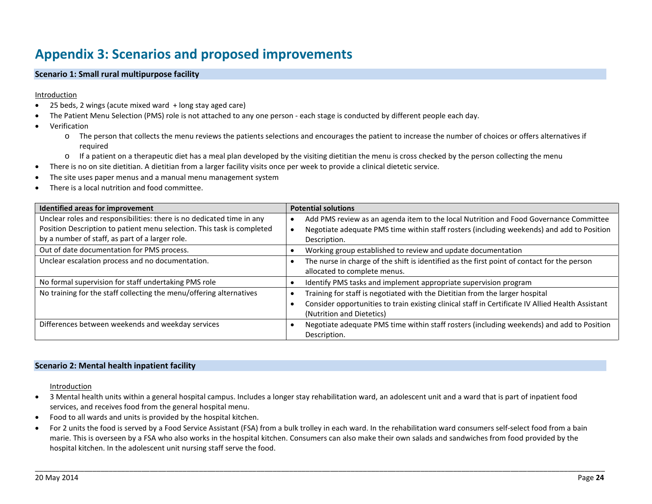### **Appendix 3: Scenarios and proposed improvements**

#### **Scenario 1: Small rural multipurpose facility**

#### Introduction

- 25 beds, 2 wings (acute mixed ward + long stay aged care)
- The Patient Menu Selection (PMS) role is not attached to any one person each stage is conducted by different people each day.
- Verification
	- o The person that collects the menu reviews the patients selections and encourages the patient to increase the number of choices or offers alternatives if required
	- $\circ$  If a patient on a therapeutic diet has a meal plan developed by the visiting dietitian the menu is cross checked by the person collecting the menu
- There is no on site dietitian. A dietitian from a larger facility visits once per week to provide a clinical dietetic service.
- The site uses paper menus and a manual menu management system
- <span id="page-26-0"></span>There is a local nutrition and food committee.

| Identified areas for improvement                                       | <b>Potential solutions</b>                                                                        |
|------------------------------------------------------------------------|---------------------------------------------------------------------------------------------------|
| Unclear roles and responsibilities: there is no dedicated time in any  | Add PMS review as an agenda item to the local Nutrition and Food Governance Committee             |
| Position Description to patient menu selection. This task is completed | Negotiate adequate PMS time within staff rosters (including weekends) and add to Position         |
| by a number of staff, as part of a larger role.                        | Description.                                                                                      |
| Out of date documentation for PMS process.                             | Working group established to review and update documentation                                      |
| Unclear escalation process and no documentation.                       | The nurse in charge of the shift is identified as the first point of contact for the person       |
|                                                                        | allocated to complete menus.                                                                      |
| No formal supervision for staff undertaking PMS role                   | Identify PMS tasks and implement appropriate supervision program                                  |
| No training for the staff collecting the menu/offering alternatives    | Training for staff is negotiated with the Dietitian from the larger hospital                      |
|                                                                        | Consider opportunities to train existing clinical staff in Certificate IV Allied Health Assistant |
|                                                                        | (Nutrition and Dietetics)                                                                         |
| Differences between weekends and weekday services                      | Negotiate adequate PMS time within staff rosters (including weekends) and add to Position         |
|                                                                        | Description.                                                                                      |

#### **Scenario 2: Mental health inpatient facility**

#### Introduction

- 3 Mental health units within a general hospital campus. Includes a longer stay rehabilitation ward, an adolescent unit and a ward that is part of inpatient food services, and receives food from the general hospital menu.
- Food to all wards and units is provided by the hospital kitchen.
- For 2 units the food is served by a Food Service Assistant (FSA) from a bulk trolley in each ward. In the rehabilitation ward consumers self-select food from a bain marie. This is overseen by a FSA who also works in the hospital kitchen. Consumers can also make their own salads and sandwiches from food provided by the hospital kitchen. In the adolescent unit nursing staff serve the food.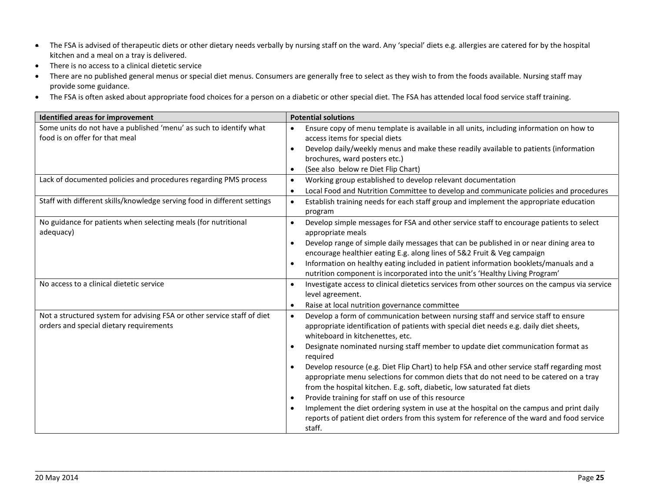- The FSA is advised of therapeutic diets or other dietary needs verbally by nursing staff on the ward. Any 'special' diets e.g. allergies are catered for by the hospital kitchen and a meal on a tray is delivered.
- There is no access to a clinical dietetic service
- There are no published general menus or special diet menus. Consumers are generally free to select as they wish to from the foods available. Nursing staff may provide some guidance.
- The FSA is often asked about appropriate food choices for a person on a diabetic or other special diet. The FSA has attended local food service staff training.

| Identified areas for improvement                                                                                   | <b>Potential solutions</b>                                                                                                                                                                                                                                                                                                                                                                                                                                                                                                                                                                                                                                                                                                                                                                                                                                          |
|--------------------------------------------------------------------------------------------------------------------|---------------------------------------------------------------------------------------------------------------------------------------------------------------------------------------------------------------------------------------------------------------------------------------------------------------------------------------------------------------------------------------------------------------------------------------------------------------------------------------------------------------------------------------------------------------------------------------------------------------------------------------------------------------------------------------------------------------------------------------------------------------------------------------------------------------------------------------------------------------------|
| Some units do not have a published 'menu' as such to identify what<br>food is on offer for that meal               | Ensure copy of menu template is available in all units, including information on how to<br>$\bullet$<br>access items for special diets<br>Develop daily/weekly menus and make these readily available to patients (information<br>brochures, ward posters etc.)<br>(See also below re Diet Flip Chart)<br>$\bullet$                                                                                                                                                                                                                                                                                                                                                                                                                                                                                                                                                 |
| Lack of documented policies and procedures regarding PMS process                                                   | Working group established to develop relevant documentation<br>$\bullet$<br>Local Food and Nutrition Committee to develop and communicate policies and procedures<br>$\bullet$                                                                                                                                                                                                                                                                                                                                                                                                                                                                                                                                                                                                                                                                                      |
| Staff with different skills/knowledge serving food in different settings                                           | Establish training needs for each staff group and implement the appropriate education<br>$\bullet$<br>program                                                                                                                                                                                                                                                                                                                                                                                                                                                                                                                                                                                                                                                                                                                                                       |
| No guidance for patients when selecting meals (for nutritional<br>adequacy)                                        | Develop simple messages for FSA and other service staff to encourage patients to select<br>appropriate meals<br>Develop range of simple daily messages that can be published in or near dining area to<br>encourage healthier eating E.g. along lines of 5&2 Fruit & Veg campaign<br>Information on healthy eating included in patient information booklets/manuals and a<br>$\bullet$<br>nutrition component is incorporated into the unit's 'Healthy Living Program'                                                                                                                                                                                                                                                                                                                                                                                              |
| No access to a clinical dietetic service                                                                           | Investigate access to clinical dietetics services from other sources on the campus via service<br>$\bullet$<br>level agreement.<br>Raise at local nutrition governance committee                                                                                                                                                                                                                                                                                                                                                                                                                                                                                                                                                                                                                                                                                    |
| Not a structured system for advising FSA or other service staff of diet<br>orders and special dietary requirements | Develop a form of communication between nursing staff and service staff to ensure<br>$\bullet$<br>appropriate identification of patients with special diet needs e.g. daily diet sheets,<br>whiteboard in kitchenettes, etc.<br>Designate nominated nursing staff member to update diet communication format as<br>required<br>Develop resource (e.g. Diet Flip Chart) to help FSA and other service staff regarding most<br>appropriate menu selections for common diets that do not need to be catered on a tray<br>from the hospital kitchen. E.g. soft, diabetic, low saturated fat diets<br>Provide training for staff on use of this resource<br>$\bullet$<br>Implement the diet ordering system in use at the hospital on the campus and print daily<br>reports of patient diet orders from this system for reference of the ward and food service<br>staff. |